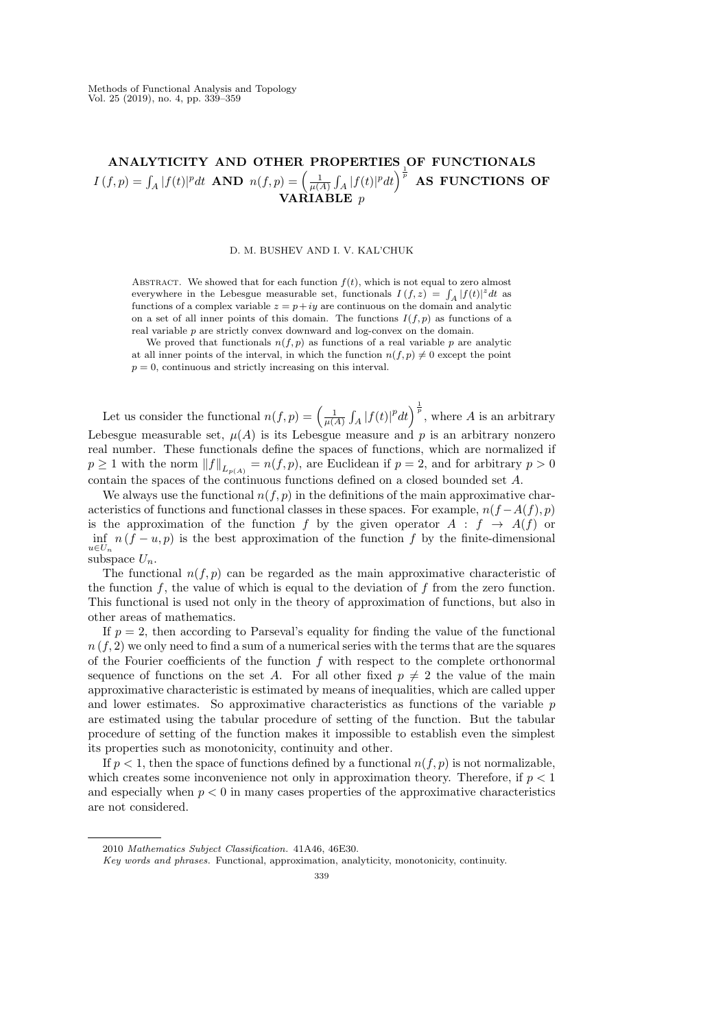# ANALYTICITY AND OTHER PROPERTIES OF FUNCTIONALS  $I\left(f,p\right)=\int_{A}|f(t)|^{p}dt\text{ \;AND\;\;}n(f,p)=\left(\frac{1}{\mu(A)}\int_{A}|f(t)|^{p}dt\right)^{\frac{1}{p}}\text{ \;AS\;\;FUNCTIONS\;\;OF}$ VARIABLE p

### D. M. BUSHEV AND I. V. KAL'CHUK

ABSTRACT. We showed that for each function  $f(t)$ , which is not equal to zero almost everywhere in the Lebesgue measurable set, functionals  $I(f, z) = \int_A |f(t)|^z dt$  as functions of a complex variable  $z = p + iy$  are continuous on the domain and analytic on a set of all inner points of this domain. The functions  $I(f, p)$  as functions of a real variable p are strictly convex downward and log-convex on the domain.

We proved that functionals  $n(f, p)$  as functions of a real variable p are analytic at all inner points of the interval, in which the function  $n(f, p) \neq 0$  except the point  $p = 0$ , continuous and strictly increasing on this interval.

Let us consider the functional  $n(f, p) = \left(\frac{1}{\mu(A)} \int_A |f(t)|^p dt\right)^{\frac{1}{p}}$ , where A is an arbitrary Lebesgue measurable set,  $\mu(A)$  is its Lebesgue measure and p is an arbitrary nonzero real number. These functionals define the spaces of functions, which are normalized if  $p \geq 1$  with the norm  $||f||_{L_{p(A)}} = n(f, p)$ , are Euclidean if  $p = 2$ , and for arbitrary  $p > 0$ contain the spaces of the continuous functions defined on a closed bounded set A.

We always use the functional  $n(f, p)$  in the definitions of the main approximative characteristics of functions and functional classes in these spaces. For example,  $n(f - A(f), p)$ is the approximation of the function f by the given operator  $A : f \rightarrow A(f)$  or  $\inf_{u \in U_n} n(f - u, p)$  is the best approximation of the function f by the finite-dimensional subspace  $U_n$ .

The functional  $n(f, p)$  can be regarded as the main approximative characteristic of the function f, the value of which is equal to the deviation of f from the zero function. This functional is used not only in the theory of approximation of functions, but also in other areas of mathematics.

If  $p = 2$ , then according to Parseval's equality for finding the value of the functional  $n(f, 2)$  we only need to find a sum of a numerical series with the terms that are the squares of the Fourier coefficients of the function  $f$  with respect to the complete orthonormal sequence of functions on the set A. For all other fixed  $p \neq 2$  the value of the main approximative characteristic is estimated by means of inequalities, which are called upper and lower estimates. So approximative characteristics as functions of the variable  $p$ are estimated using the tabular procedure of setting of the function. But the tabular procedure of setting of the function makes it impossible to establish even the simplest its properties such as monotonicity, continuity and other.

If  $p < 1$ , then the space of functions defined by a functional  $n(f, p)$  is not normalizable, which creates some inconvenience not only in approximation theory. Therefore, if  $p < 1$ and especially when  $p < 0$  in many cases properties of the approximative characteristics are not considered.

<sup>2010</sup> Mathematics Subject Classification. 41A46, 46E30.

Key words and phrases. Functional, approximation, analyticity, monotonicity, continuity.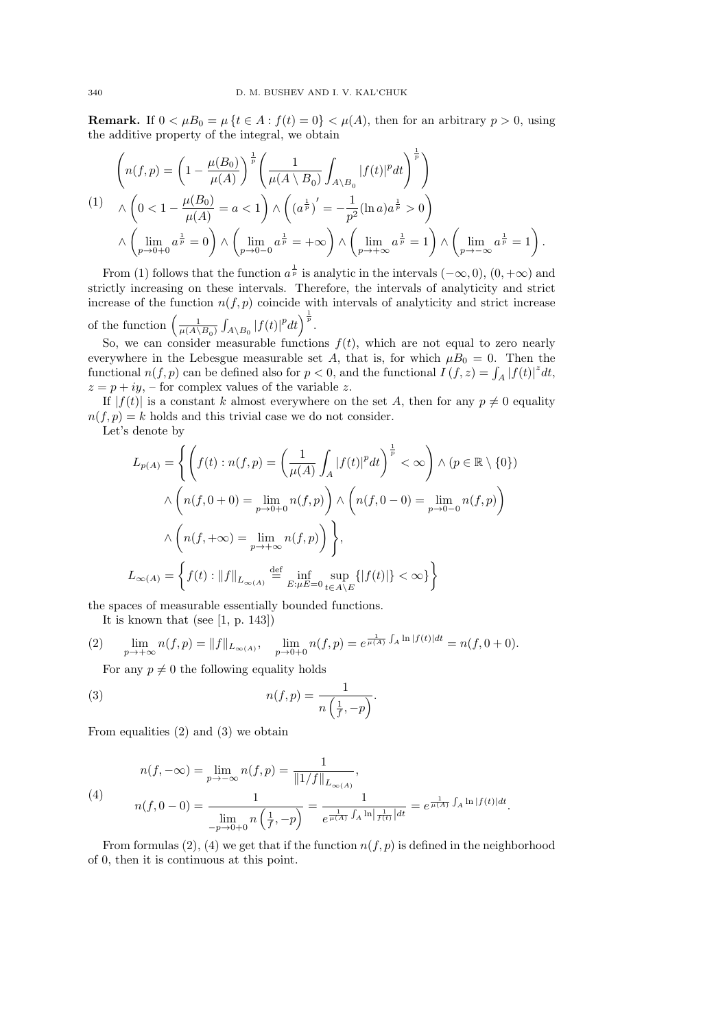**Remark.** If  $0 < \mu B_0 = \mu \{t \in A : f(t) = 0\} < \mu(A)$ , then for an arbitrary  $p > 0$ , using the additive property of the integral, we obtain

$$
\left(n(f,p) = \left(1 - \frac{\mu(B_0)}{\mu(A)}\right)^{\frac{1}{p}} \left(\frac{1}{\mu(A \setminus B_0)} \int_{A \setminus B_0} |f(t)|^p dt\right)^{\frac{1}{p}}\right)
$$
\n
$$
\Lambda\left(0 < 1 - \frac{\mu(B_0)}{\mu(A)} = a < 1\right) \wedge \left(\left(a^{\frac{1}{p}}\right)' = -\frac{1}{p^2} (\ln a) a^{\frac{1}{p}} > 0\right)
$$
\n
$$
\wedge \left(\lim_{p \to 0+0} a^{\frac{1}{p}} = 0\right) \wedge \left(\lim_{p \to 0-0} a^{\frac{1}{p}} = +\infty\right) \wedge \left(\lim_{p \to +\infty} a^{\frac{1}{p}} = 1\right) \wedge \left(\lim_{p \to -\infty} a^{\frac{1}{p}} = 1\right).
$$

From (1) follows that the function  $a^{\frac{1}{p}}$  is analytic in the intervals  $(-\infty,0)$ ,  $(0,+\infty)$  and strictly increasing on these intervals. Therefore, the intervals of analyticity and strict increase of the function  $n(f, p)$  coincide with intervals of analyticity and strict increase of the function  $\left(\frac{1}{\mu(A\setminus B_0)}\int_{A\setminus B_0}|f(t)|^pdt\right)^{\frac{1}{p}}$ .

So, we can consider measurable functions  $f(t)$ , which are not equal to zero nearly everywhere in the Lebesgue measurable set A, that is, for which  $\mu B_0 = 0$ . Then the functional  $n(f, p)$  can be defined also for  $p < 0$ , and the functional  $I(f, z) = \int_A |f(t)|^z dt$ ,  $z = p + iy$ , – for complex values of the variable z.

If  $|f(t)|$  is a constant k almost everywhere on the set A, then for any  $p \neq 0$  equality  $n(f, p) = k$  holds and this trivial case we do not consider.

Let's denote by

$$
L_{p(A)} = \left\{ \left( f(t) : n(f, p) = \left( \frac{1}{\mu(A)} \int_A |f(t)|^p dt \right)^{\frac{1}{p}} < \infty \right) \land (p \in \mathbb{R} \setminus \{0\})
$$
  

$$
\land \left( n(f, 0 + 0) = \lim_{p \to 0 + 0} n(f, p) \right) \land \left( n(f, 0 - 0) = \lim_{p \to 0 - 0} n(f, p) \right)
$$
  

$$
\land \left( n(f, +\infty) = \lim_{p \to +\infty} n(f, p) \right) \right\},
$$
  

$$
L_{\infty(A)} = \left\{ f(t) : ||f||_{L_{\infty(A)}} \stackrel{\text{def}}{=} \inf_{E: \mu E = 0} \sup_{t \in A \setminus E} \{ |f(t)| \} < \infty \} \right\}
$$

the spaces of measurable essentially bounded functions.

It is known that (see [1, p. 143])

(2) 
$$
\lim_{p \to +\infty} n(f, p) = ||f||_{L_{\infty(A)}}, \quad \lim_{p \to 0+0} n(f, p) = e^{\frac{1}{\mu(A)} \int_A \ln |f(t)| dt} = n(f, 0+0).
$$

For any  $p \neq 0$  the following equality holds

(3) 
$$
n(f,p) = \frac{1}{n\left(\frac{1}{f}, -p\right)}.
$$

From equalities (2) and (3) we obtain

(4)  

$$
n(f, -\infty) = \lim_{p \to -\infty} n(f, p) = \frac{1}{\|1/f\|_{L_{\infty(A)}}},
$$

$$
n(f, 0 - 0) = \frac{1}{\lim_{-p \to 0+0} n\left(\frac{1}{f}, -p\right)} = \frac{1}{e^{\frac{1}{\mu(A)} \int_A \ln\left|\frac{1}{f(t)}\right| dt}} = e^{\frac{1}{\mu(A)} \int_A \ln|f(t)| dt}.
$$

From formulas (2), (4) we get that if the function  $n(f, p)$  is defined in the neighborhood of 0, then it is continuous at this point.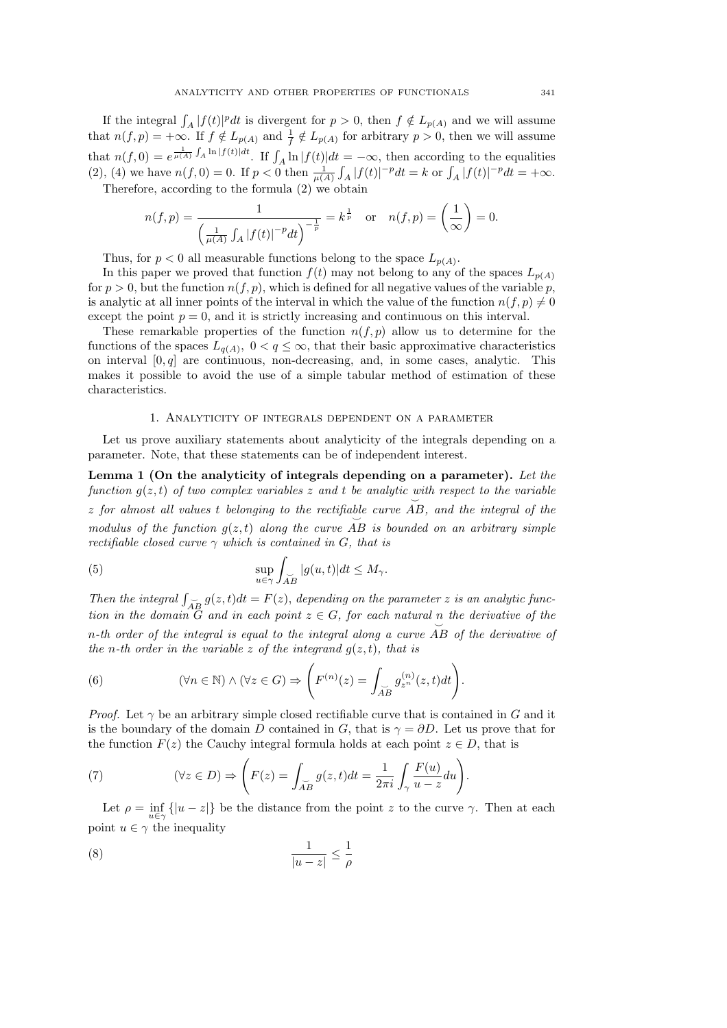If the integral  $\int_A |f(t)|^p dt$  is divergent for  $p > 0$ , then  $f \notin L_{p(A)}$  and we will assume that  $n(f, p) = +\infty$ . If  $f \notin L_{p(A)}$  and  $\frac{1}{f} \notin L_{p(A)}$  for arbitrary  $p > 0$ , then we will assume that  $n(f, 0) = e^{\frac{1}{\mu(A)} \int_A \ln |f(t)| dt}$ . If  $\int_A \ln |f(t)| dt = -\infty$ , then according to the equalities (2), (4) we have  $n(f, 0) = 0$ . If  $p < 0$  then  $\frac{1}{\mu(A)} \int_A |f(t)|^{-p} dt = k$  or  $\int_A |f(t)|^{-p} dt = +\infty$ .

Therefore, according to the formula (2) we obtain

$$
n(f, p) = \frac{1}{\left(\frac{1}{\mu(A)} \int_A |f(t)|^{-p} dt\right)^{-\frac{1}{p}}} = k^{\frac{1}{p}} \quad \text{or} \quad n(f, p) = \left(\frac{1}{\infty}\right) = 0.
$$

Thus, for  $p < 0$  all measurable functions belong to the space  $L_{p(A)}$ .

In this paper we proved that function  $f(t)$  may not belong to any of the spaces  $L_{p(A)}$ for  $p > 0$ , but the function  $n(f, p)$ , which is defined for all negative values of the variable p, is analytic at all inner points of the interval in which the value of the function  $n(f, p) \neq 0$ except the point  $p = 0$ , and it is strictly increasing and continuous on this interval.

These remarkable properties of the function  $n(f, p)$  allow us to determine for the functions of the spaces  $L_{q(A)}$ ,  $0 < q \leq \infty$ , that their basic approximative characteristics on interval  $[0, q]$  are continuous, non-decreasing, and, in some cases, analytic. This makes it possible to avoid the use of a simple tabular method of estimation of these characteristics.

#### 1. Analyticity of integrals dependent on a parameter

Let us prove auxiliary statements about analyticity of the integrals depending on a parameter. Note, that these statements can be of independent interest.

Lemma 1 (On the analyticity of integrals depending on a parameter). *Let the function*  $q(z, t)$  *of two complex variables* z *and* t *be analytic with respect to the variable* z for almost all values t belonging to the rectifiable curve  $\overrightarrow{AB}$ , and the integral of the <sup>o</sup><br>modulus of the function  $g(z,t)$  along the curve  $\overrightarrow{AB}$  is bounded on an arbitrary simple *rectifiable closed curve* γ *which is contained in* G*, that is*

(5) 
$$
\sup_{u \in \gamma} \int_{\widetilde{AB}} |g(u, t)| dt \le M_{\gamma}.
$$

Then the integral  $\int_{\overrightarrow{AB}} g(z, t) dt = F(z)$ , depending on the parameter z is an analytic func*tion in the domain*  $G$  *and in each point*  $z \in G$ *, for each natural*  $\overline{p}$  *the derivative of the* n*-th order of the integral is equal to the integral along a curve* AB *of the derivative of the n*-th order in the variable z of the integrand  $g(z,t)$ *, that is* 

(6) 
$$
(\forall n \in \mathbb{N}) \land (\forall z \in G) \Rightarrow \left( F^{(n)}(z) = \int_{\widetilde{AB}} g_{z^n}^{(n)}(z, t) dt \right).
$$

*Proof.* Let  $\gamma$  be an arbitrary simple closed rectifiable curve that is contained in G and it is the boundary of the domain D contained in G, that is  $\gamma = \partial D$ . Let us prove that for the function  $F(z)$  the Cauchy integral formula holds at each point  $z \in D$ , that is

(7) 
$$
(\forall z \in D) \Rightarrow \left( F(z) = \int_{\widetilde{AB}} g(z, t) dt = \frac{1}{2\pi i} \int_{\gamma} \frac{F(u)}{u - z} du \right).
$$

Let  $\rho = \inf_{u \in \gamma} \{|u - z|\}$  be the distance from the point z to the curve  $\gamma$ . Then at each point  $u \in \gamma$  the inequality

$$
\frac{1}{|u-z|} \le \frac{1}{\rho}
$$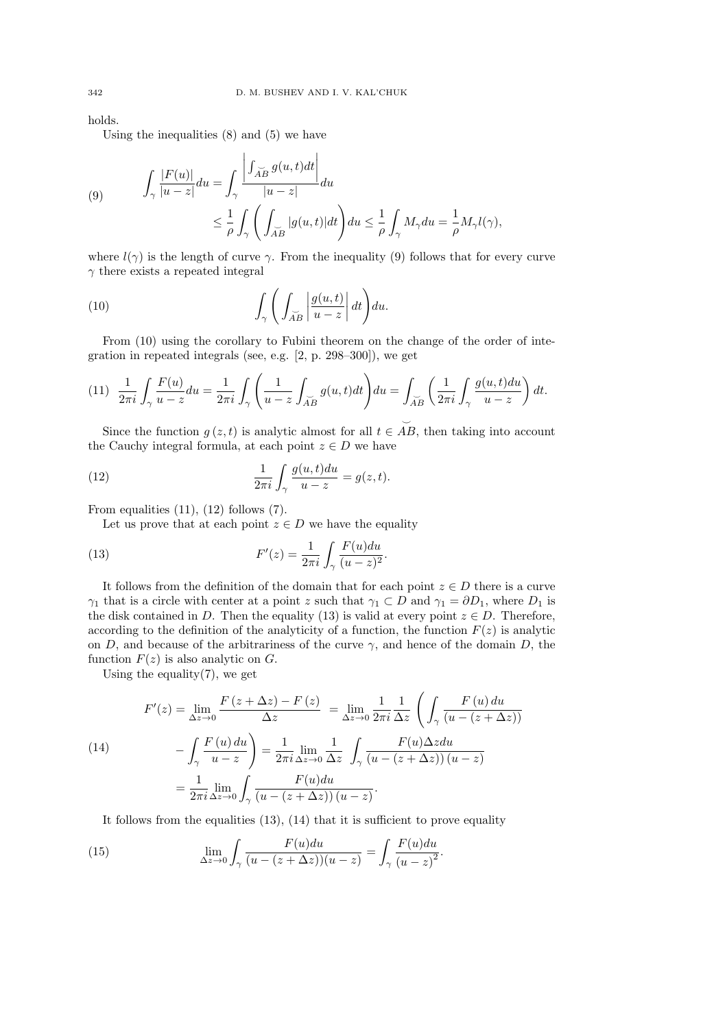holds.

Using the inequalities  $(8)$  and  $(5)$  we have

 $\mathbb{R}^2$ 

(9) 
$$
\int_{\gamma} \frac{|F(u)|}{|u-z|} du = \int_{\gamma} \frac{\left| \int_{\widetilde{AB}} g(u, t) dt \right|}{|u-z|} du
$$
  

$$
\leq \frac{1}{\rho} \int_{\gamma} \left( \int_{\widetilde{AB}} |g(u, t)| dt \right) du \leq \frac{1}{\rho} \int_{\gamma} M_{\gamma} du = \frac{1}{\rho} M_{\gamma} l(\gamma),
$$

where  $l(\gamma)$  is the length of curve  $\gamma$ . From the inequality (9) follows that for every curve  $\gamma$  there exists a repeated integral

(10) 
$$
\int_{\gamma} \left( \int_{\widetilde{AB}} \left| \frac{g(u,t)}{u-z} \right| dt \right) du.
$$

From (10) using the corollary to Fubini theorem on the change of the order of integration in repeated integrals (see, e.g. [2, p. 298–300]), we get

$$
(11) \quad \frac{1}{2\pi i} \int_{\gamma} \frac{F(u)}{u - z} du = \frac{1}{2\pi i} \int_{\gamma} \left( \frac{1}{u - z} \int_{\widetilde{AB}} g(u, t) dt \right) du = \int_{\widetilde{AB}} \left( \frac{1}{2\pi i} \int_{\gamma} \frac{g(u, t) du}{u - z} \right) dt.
$$

Since the function  $g(z,t)$  is analytic almost for all  $t \in \overrightarrow{AB}$ , then taking into account the Cauchy integral formula, at each point  $z \in D$  we have

(12) 
$$
\frac{1}{2\pi i} \int_{\gamma} \frac{g(u,t)du}{u-z} = g(z,t).
$$

From equalities  $(11)$ ,  $(12)$  follows  $(7)$ .

Let us prove that at each point  $z \in D$  we have the equality

(13) 
$$
F'(z) = \frac{1}{2\pi i} \int_{\gamma} \frac{F(u)du}{(u-z)^2}.
$$

It follows from the definition of the domain that for each point  $z \in D$  there is a curve  $\gamma_1$  that is a circle with center at a point z such that  $\gamma_1 \subset D$  and  $\gamma_1 = \partial D_1$ , where  $D_1$  is the disk contained in D. Then the equality (13) is valid at every point  $z \in D$ . Therefore, according to the definition of the analyticity of a function, the function  $F(z)$  is analytic on D, and because of the arbitrariness of the curve  $\gamma$ , and hence of the domain D, the function  $F(z)$  is also analytic on  $G$ .

Using the equality $(7)$ , we get

$$
F'(z) = \lim_{\Delta z \to 0} \frac{F(z + \Delta z) - F(z)}{\Delta z} = \lim_{\Delta z \to 0} \frac{1}{2\pi i} \frac{1}{\Delta z} \left( \int_{\gamma} \frac{F(u) du}{(u - (z + \Delta z))} - \int_{\gamma} \frac{F(u) du}{u - z} \right) = \frac{1}{2\pi i} \lim_{\Delta z \to 0} \frac{1}{\Delta z} \int_{\gamma} \frac{F(u) \Delta z du}{(u - (z + \Delta z))(u - z)}
$$

$$
= \frac{1}{2\pi i} \lim_{\Delta z \to 0} \int_{\gamma} \frac{F(u) du}{(u - (z + \Delta z))(u - z)}.
$$

It follows from the equalities  $(13)$ ,  $(14)$  that it is sufficient to prove equality

(15) 
$$
\lim_{\Delta z \to 0} \int_{\gamma} \frac{F(u) du}{(u - (z + \Delta z))(u - z)} = \int_{\gamma} \frac{F(u) du}{(u - z)^2}.
$$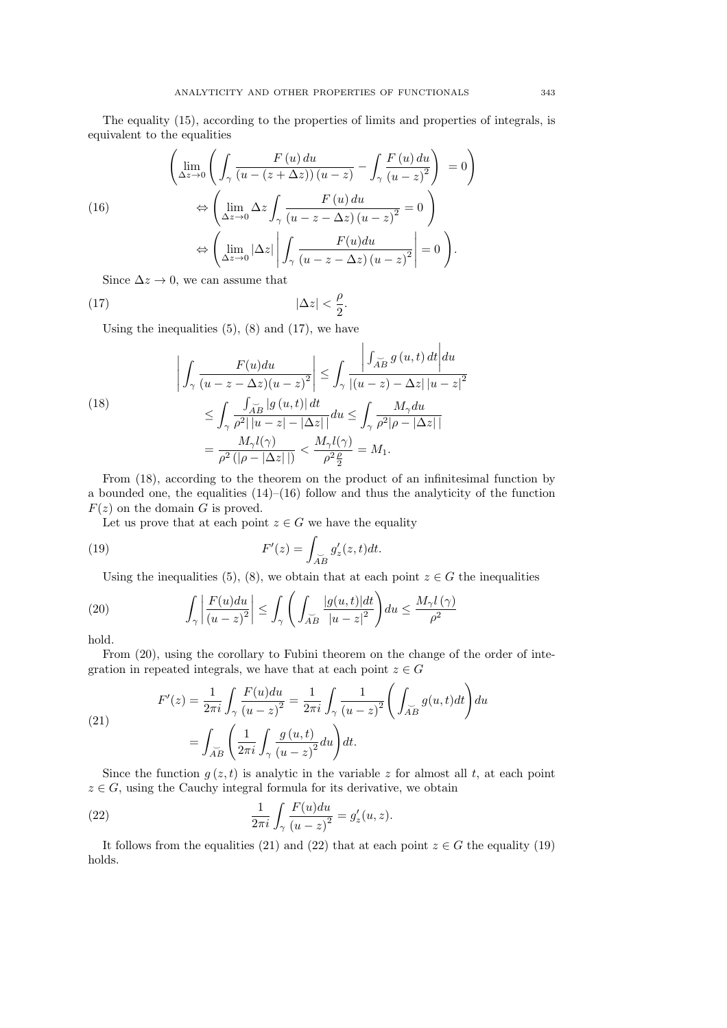The equality (15), according to the properties of limits and properties of integrals, is equivalent to the equalities

(16)  
\n
$$
\left(\lim_{\Delta z \to 0} \left( \int_{\gamma} \frac{F(u) du}{(u - (z + \Delta z))(u - z)} - \int_{\gamma} \frac{F(u) du}{(u - z)^2} \right) = 0 \right)
$$
\n
$$
\Leftrightarrow \left( \lim_{\Delta z \to 0} \Delta z \int_{\gamma} \frac{F(u) du}{(u - z - \Delta z)(u - z)^2} = 0 \right)
$$
\n
$$
\Leftrightarrow \left( \lim_{\Delta z \to 0} |\Delta z| \left| \int_{\gamma} \frac{F(u) du}{(u - z - \Delta z)(u - z)^2} \right| = 0 \right).
$$
\nSince  $\Delta x \to 0$  are zero seems that

Since  $\Delta z \rightarrow 0$ , we can assume that

$$
(17) \t\t |\Delta z| < \frac{\rho}{2}.
$$

Using the inequalities  $(5)$ ,  $(8)$  and  $(17)$ , we have

(18)  

$$
\left| \int_{\gamma} \frac{F(u)du}{(u-z-\Delta z)(u-z)^2} \right| \leq \int_{\gamma} \frac{\left| \int_{\widetilde{AB}} g(u,t) dt \right| du}{\left| (u-z) - \Delta z \right| |u-z|^2}
$$

$$
\leq \int_{\gamma} \frac{\int_{\widetilde{AB}} |g(u,t)| dt}{\rho^2 ||u-z| - |\Delta z||} du \leq \int_{\gamma} \frac{M_{\gamma} du}{\rho^2 |\rho - |\Delta z||}
$$

$$
= \frac{M_{\gamma} l(\gamma)}{\rho^2 (|\rho - |\Delta z||)} < \frac{M_{\gamma} l(\gamma)}{\rho^2 \frac{\rho}{2}} = M_1.
$$

From (18), according to the theorem on the product of an infinitesimal function by a bounded one, the equalities  $(14)$ – $(16)$  follow and thus the analyticity of the function  $F(z)$  on the domain G is proved.

Let us prove that at each point  $z \in G$  we have the equality

(19) 
$$
F'(z) = \int_{\widetilde{AB}} g'_z(z, t) dt.
$$

Using the inequalities (5), (8), we obtain that at each point  $z \in G$  the inequalities

**14** 

(20) 
$$
\int_{\gamma} \left| \frac{F(u) du}{(u-z)^2} \right| \leq \int_{\gamma} \left( \int_{\widetilde{AB}} \frac{|g(u,t)| dt}{|u-z|^2} \right) du \leq \frac{M_{\gamma} l(\gamma)}{\rho^2}
$$

hold.

From (20), using the corollary to Fubini theorem on the change of the order of integration in repeated integrals, we have that at each point  $z \in G$ 

(21)  

$$
F'(z) = \frac{1}{2\pi i} \int_{\gamma} \frac{F(u)du}{(u-z)^2} = \frac{1}{2\pi i} \int_{\gamma} \frac{1}{(u-z)^2} \left( \int_{\tilde{A}B} g(u,t)dt \right) du
$$

$$
= \int_{\tilde{A}B} \left( \frac{1}{2\pi i} \int_{\gamma} \frac{g(u,t)}{(u-z)^2} du \right) dt.
$$

Since the function  $g(z, t)$  is analytic in the variable z for almost all t, at each point  $z \in G$ , using the Cauchy integral formula for its derivative, we obtain

(22) 
$$
\frac{1}{2\pi i} \int_{\gamma} \frac{F(u) du}{(u-z)^2} = g'_z(u,z).
$$

It follows from the equalities (21) and (22) that at each point  $z \in G$  the equality (19) holds.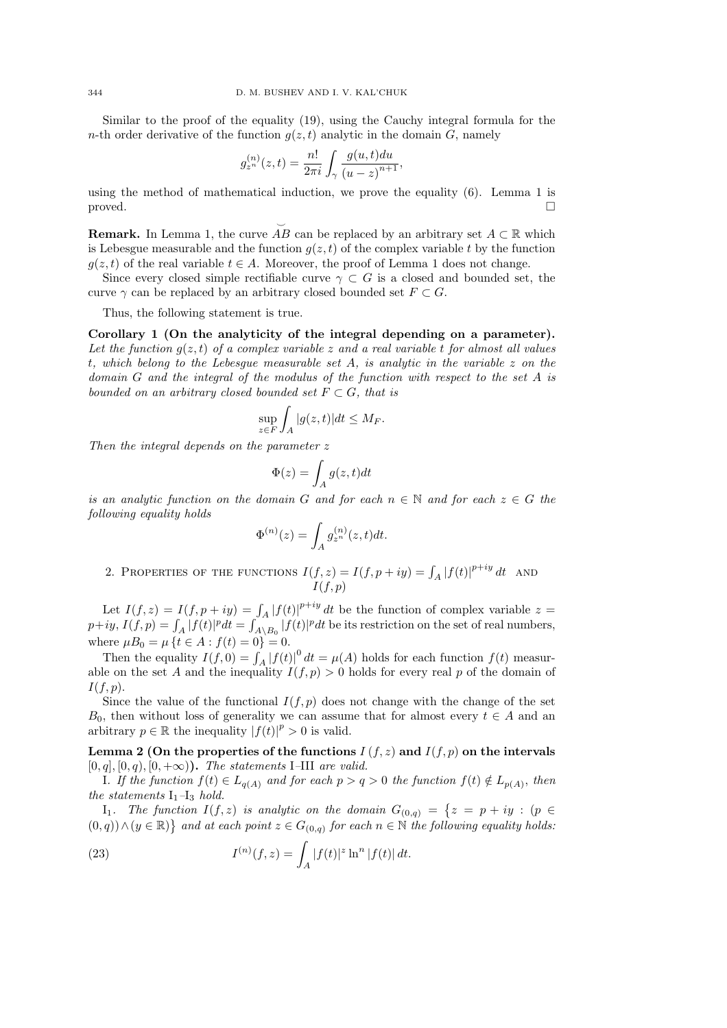Similar to the proof of the equality (19), using the Cauchy integral formula for the n-th order derivative of the function  $g(z, t)$  analytic in the domain G, namely

$$
g_{z^n}^{(n)}(z,t) = \frac{n!}{2\pi i} \int_{\gamma} \frac{g(u,t)du}{(u-z)^{n+1}},
$$

using the method of mathematical induction, we prove the equality (6). Lemma 1 is  $\Box$ 

**Remark.** In Lemma 1, the curve  $\overrightarrow{AB}$  can be replaced by an arbitrary set  $A \subset \mathbb{R}$  which is Lebesgue measurable and the function  $q(z, t)$  of the complex variable t by the function  $q(z, t)$  of the real variable  $t \in A$ . Moreover, the proof of Lemma 1 does not change.

Since every closed simple rectifiable curve  $\gamma \subset G$  is a closed and bounded set, the curve  $\gamma$  can be replaced by an arbitrary closed bounded set  $F \subset G$ .

Thus, the following statement is true.

Corollary 1 (On the analyticity of the integral depending on a parameter). Let the function  $g(z, t)$  of a complex variable z and a real variable t for almost all values t*, which belong to the Lebesgue measurable set* A*, is analytic in the variable* z *on the domain* G *and the integral of the modulus of the function with respect to the set* A *is bounded on an arbitrary closed bounded set*  $F \subset G$ *, that is* 

$$
\sup_{z \in F} \int_A |g(z, t)| dt \le M_F.
$$

*Then the integral depends on the parameter* z

$$
\Phi(z)=\int_A g(z,t)dt
$$

*is an analytic function on the domain* G and for each  $n \in \mathbb{N}$  and for each  $z \in G$  the *following equality holds*

$$
\Phi^{(n)}(z) = \int_A g_{z^n}^{(n)}(z,t)dt.
$$

2. PROPERTIES OF THE FUNCTIONS  $I(f, z) = I(f, p + iy) = \int_A |f(t)|^{p+iy} dt$  and  $I(f, p)$ 

Let  $I(f, z) = I(f, p + iy) = \int_A |f(t)|^{p+iy} dt$  be the function of complex variable  $z =$  $p+iy, I(f, p) = \int_A |f(t)|^p dt = \int_{A\setminus B_0} |f(t)|^p dt$  be its restriction on the set of real numbers, where  $\mu B_0 = \mu \{ t \in A : f(t) = 0 \} = 0.$ 

Then the equality  $I(f, 0) = \int_A |f(t)|^0 dt = \mu(A)$  holds for each function  $f(t)$  measurable on the set A and the inequality  $I(f, p) > 0$  holds for every real p of the domain of  $I(f, p).$ 

Since the value of the functional  $I(f, p)$  does not change with the change of the set  $B_0$ , then without loss of generality we can assume that for almost every  $t \in A$  and an arbitrary  $p \in \mathbb{R}$  the inequality  $|f(t)|^p > 0$  is valid.

Lemma 2 (On the properties of the functions  $I(f, z)$  and  $I(f, p)$  on the intervals  $[0, q], [0, q), [0, +\infty)$ . *The statements* I–III *are valid.* 

*I*. If the function  $f(t) \in L_{q(A)}$  and for each  $p > q > 0$  the function  $f(t) \notin L_{p(A)}$ , then *the statements*  $I_1$ *–I<sub>3</sub> <i>hold.* 

I<sub>1</sub>. The function  $I(f, z)$  is analytic on the domain  $G_{(0,q)} = \{z = p + iy : (p \in$  $(0, q)$ )  $\land$   $(y ∈ ℝ)$  and at each point  $z ∈ G_{(0,q)}$  for each  $n ∈ ℕ$  the following equality holds:

(23) 
$$
I^{(n)}(f,z) = \int_A |f(t)|^z \ln^n |f(t)| dt.
$$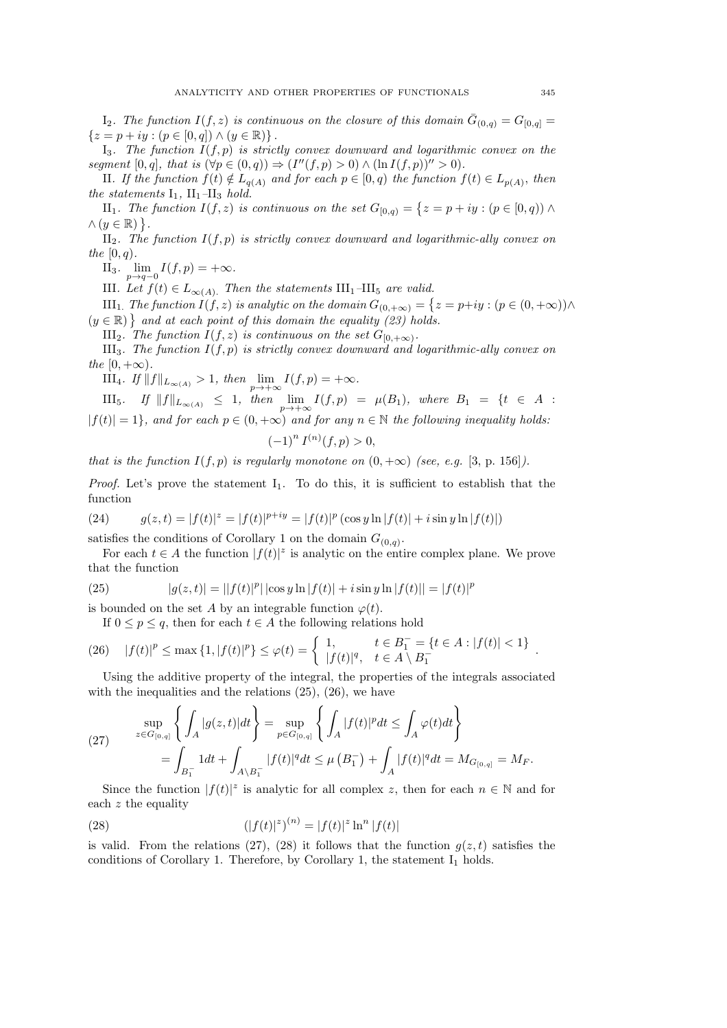$I_2$ . The function  $I(f, z)$  is continuous on the closure of this domain  $\bar{G}_{(0,q)} = G_{[0,q]} =$  ${z = p + iy : (p \in [0, q]) \wedge (y \in \mathbb{R})}.$ 

 $I_3$ *. The function*  $I(f, p)$  *is strictly convex downward and logarithmic convex on the segment*  $[0, q]$ *, that is*  $(\forall p \in (0, q)) \Rightarrow (I''(f, p) > 0) \land (\ln I(f, p))'' > 0$ *.* 

II. If the function  $f(t) \notin L_{q(A)}$  and for each  $p \in [0, q)$  the function  $f(t) \in L_{p(A)}$ , then *the statements*  $I_1$ ,  $II_1$ – $II_3$  *hold.* 

II<sub>1</sub>. The function  $I(f, z)$  is continuous on the set  $G_{[0,q)} = \{z = p + iy : (p \in [0,q)) \land$  $\wedge (y \in \mathbb{R})$ .

II2*. The function* I(f, p) *is strictly convex downward and logarithmic-ally convex on the* [0, q)*.*

II<sub>3</sub>.  $\lim_{p \to q-0} I(f, p) = +\infty$ *.* 

III*. Let*  $f(t) \in L_{\infty(A)}$ . *Then the statements* III<sub>1</sub>–III<sub>5</sub> *are valid.* 

III<sub>1.</sub> *The function*  $I(f, z)$  *is analytic on the domain*  $G_{(0, +\infty)} = \{z = p+iy : (p \in (0, +\infty)) \wedge \}$  $(y \in \mathbb{R})$  and at each point of this domain the equality (23) holds.

III<sub>2</sub>. The function  $I(f, z)$  is continuous on the set  $G_{[0, +\infty)}$ .

III<sub>3</sub>*. The function*  $I(f, p)$  *is strictly convex downward and logarithmic-ally convex on the*  $[0, +\infty)$ *.* 

III<sub>4</sub>*.* If  $||f||_{L_{\infty(A)}} > 1$ , then  $\lim_{p \to +\infty} I(f, p) = +\infty$ .

 $\text{III}_5$ *.* If  $||f||_{L_{\infty(A)}} \leq 1$ , then  $\lim_{p \to +\infty} I(f, p) = \mu(B_1)$ , where  $B_1 = \{t \in A :$  $|f(t)| = 1$ *, and for each*  $p \in (0, +\infty)$  *and for any*  $n \in \mathbb{N}$  *the following inequality holds:* 

$$
(-1)^n I^{(n)}(f, p) > 0,
$$

*that is the function*  $I(f, p)$  *is regularly monotone on*  $(0, +\infty)$  *(see, e.g.* [3, p. 156]*)*.

*Proof.* Let's prove the statement  $I_1$ . To do this, it is sufficient to establish that the function

(24) 
$$
g(z,t) = |f(t)|^z = |f(t)|^{p+iy} = |f(t)|^p (\cos y \ln |f(t)| + i \sin y \ln |f(t)|)
$$

satisfies the conditions of Corollary 1 on the domain  $G_{(0,q)}$ .

For each  $t \in A$  the function  $|f(t)|^z$  is analytic on the entire complex plane. We prove that the function

(25) 
$$
|g(z,t)| = ||f(t)|^p| |\cos y \ln |f(t)| + i \sin y \ln |f(t)| = |f(t)|^p
$$

is bounded on the set A by an integrable function  $\varphi(t)$ .

If  $0 \leq p \leq q$ , then for each  $t \in A$  the following relations hold

(26) 
$$
|f(t)|^p \le \max\{1, |f(t)|^p\} \le \varphi(t) = \begin{cases} 1, & t \in B_1^- = \{t \in A : |f(t)| < 1\} \\ |f(t)|^q, & t \in A \setminus B_1^- \end{cases}
$$
.

Using the additive property of the integral, the properties of the integrals associated with the inequalities and the relations (25), (26), we have

(27) 
$$
\sup_{z \in G_{[0,q]}} \left\{ \int_A |g(z,t)| dt \right\} = \sup_{p \in G_{[0,q]}} \left\{ \int_A |f(t)|^p dt \le \int_A \varphi(t) dt \right\}
$$

$$
= \int_{B_1^-} 1 dt + \int_{A \setminus B_1^-} |f(t)|^q dt \le \mu (B_1^-) + \int_A |f(t)|^q dt = M_{G_{[0,q]}} = M_F.
$$

Since the function  $|f(t)|^z$  is analytic for all complex z, then for each  $n \in \mathbb{N}$  and for each z the equality

(28) 
$$
(|f(t)|^z)^{(n)} = |f(t)|^z \ln^n |f(t)|
$$

is valid. From the relations (27), (28) it follows that the function  $g(z, t)$  satisfies the conditions of Corollary 1. Therefore, by Corollary 1, the statement  $I_1$  holds.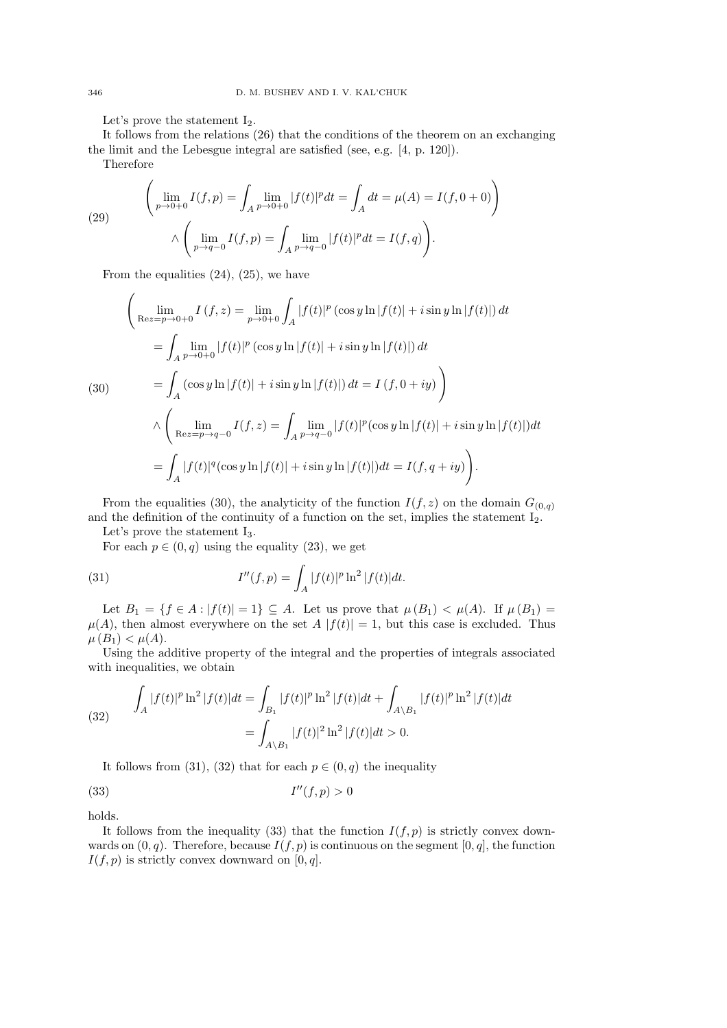Let's prove the statement  $I_2$ .

It follows from the relations (26) that the conditions of the theorem on an exchanging the limit and the Lebesgue integral are satisfied (see, e.g. [4, p. 120]).

Therefore

(29) 
$$
\left(\lim_{p\to 0+0} I(f,p) = \int_A \lim_{p\to 0+0} |f(t)|^p dt = \int_A dt = \mu(A) = I(f, 0+0) \right)
$$

$$
\wedge \left(\lim_{p\to q-0} I(f,p) = \int_A \lim_{p\to q-0} |f(t)|^p dt = I(f,q) \right).
$$

From the equalities  $(24)$ ,  $(25)$ , we have

$$
\left(\lim_{\text{Re}z=p\to 0+0} I(f,z) = \lim_{p\to 0+0} \int_A |f(t)|^p (\cos y \ln |f(t)| + i \sin y \ln |f(t)|) dt\right)
$$
  
\n
$$
= \int_A \lim_{p\to 0+0} |f(t)|^p (\cos y \ln |f(t)| + i \sin y \ln |f(t)|) dt
$$
  
\n(30)  
\n
$$
= \int_A (\cos y \ln |f(t)| + i \sin y \ln |f(t)|) dt = I(f, 0 + iy)
$$
  
\n
$$
\wedge \left(\lim_{\text{Re}z=p\to q-0} I(f,z) = \int_A \lim_{p\to q-0} |f(t)|^p (\cos y \ln |f(t)| + i \sin y \ln |f(t)|) dt\right)
$$
  
\n
$$
= \int_A |f(t)|^q (\cos y \ln |f(t)| + i \sin y \ln |f(t)|) dt = I(f, q + iy).
$$

From the equalities (30), the analyticity of the function  $I(f, z)$  on the domain  $G_{(0,q)}$ and the definition of the continuity of a function on the set, implies the statement  $I_2$ .

Let's prove the statement  $I_3$ .

For each  $p \in (0, q)$  using the equality (23), we get

(31) 
$$
I''(f, p) = \int_A |f(t)|^p \ln^2 |f(t)| dt.
$$

Let  $B_1 = \{f \in A : |f(t)| = 1\} \subseteq A$ . Let us prove that  $\mu(B_1) < \mu(A)$ . If  $\mu(B_1) =$  $\mu(A)$ , then almost everywhere on the set  $A |f(t)| = 1$ , but this case is excluded. Thus  $\mu(B_1) < \mu(A)$ .

Using the additive property of the integral and the properties of integrals associated with inequalities, we obtain

(32) 
$$
\int_{A} |f(t)|^{p} \ln^{2} |f(t)| dt = \int_{B_{1}} |f(t)|^{p} \ln^{2} |f(t)| dt + \int_{A \setminus B_{1}} |f(t)|^{p} \ln^{2} |f(t)| dt
$$

$$
= \int_{A \setminus B_{1}} |f(t)|^{2} \ln^{2} |f(t)| dt > 0.
$$

It follows from (31), (32) that for each  $p \in (0, q)$  the inequality

$$
(33) \tI''(f, p) > 0
$$

holds.

It follows from the inequality (33) that the function  $I(f, p)$  is strictly convex downwards on  $(0, q)$ . Therefore, because  $I(f, p)$  is continuous on the segment  $[0, q]$ , the function  $I(f, p)$  is strictly convex downward on [0, q].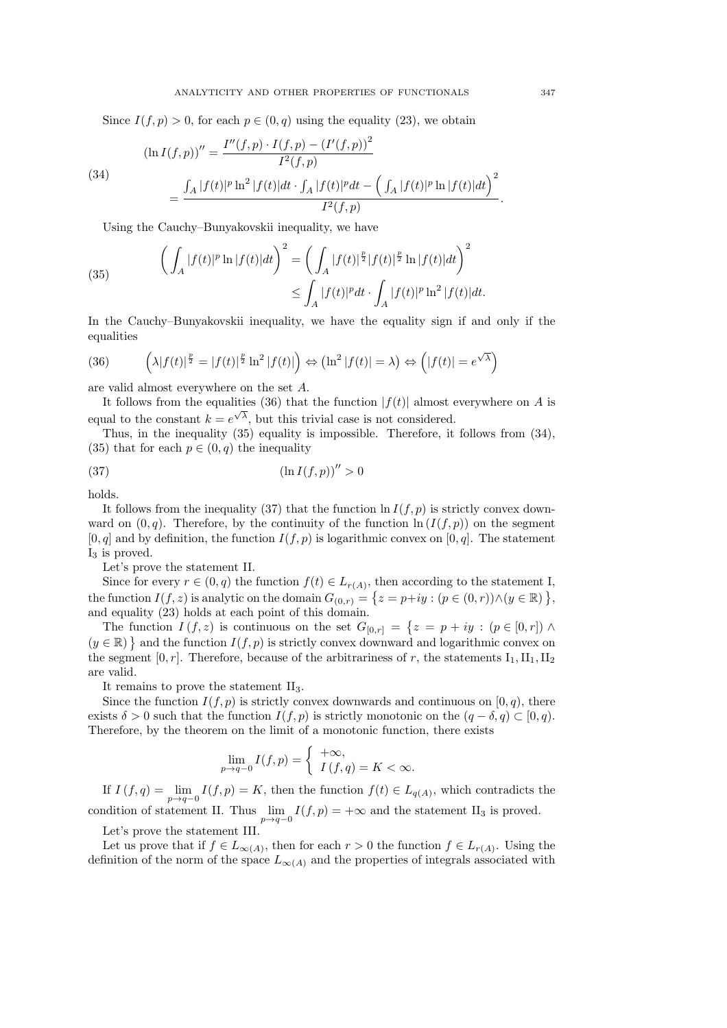Since  $I(f, p) > 0$ , for each  $p \in (0, q)$  using the equality (23), we obtain

(34)  
\n
$$
(\ln I(f, p))'' = \frac{I''(f, p) \cdot I(f, p) - (I'(f, p))^{2}}{I^{2}(f, p)}
$$
\n
$$
= \frac{\int_{A} |f(t)|^{p} \ln^{2} |f(t)| dt \cdot \int_{A} |f(t)|^{p} dt - \left( \int_{A} |f(t)|^{p} \ln |f(t)| dt \right)^{2}}{I^{2}(f, p)}.
$$

Using the Cauchy–Bunyakovskii inequality, we have

(35) 
$$
\left(\int_A |f(t)|^p \ln |f(t)| dt\right)^2 = \left(\int_A |f(t)|^{\frac{p}{2}} |f(t)|^{\frac{p}{2}} \ln |f(t)| dt\right)^2 \leq \int_A |f(t)|^p dt \cdot \int_A |f(t)|^p \ln^2 |f(t)| dt.
$$

In the Cauchy–Bunyakovskii inequality, we have the equality sign if and only if the equalities

(36) 
$$
\left(\lambda |f(t)|^{\frac{p}{2}} = |f(t)|^{\frac{p}{2}} \ln^2 |f(t)|\right) \Leftrightarrow \left(\ln^2 |f(t)| = \lambda\right) \Leftrightarrow \left(|f(t)| = e^{\sqrt{\lambda}}\right)
$$

are valid almost everywhere on the set A.

It follows from the equalities (36) that the function  $|f(t)|$  almost everywhere on A is equal to the constant  $k = e^{\sqrt{\lambda}}$ , but this trivial case is not considered.

Thus, in the inequality (35) equality is impossible. Therefore, it follows from (34), (35) that for each  $p \in (0, q)$  the inequality

$$
(37)\qquad \qquad (\ln I(f,p))'' > 0
$$

holds.

It follows from the inequality (37) that the function  $\ln I(f, p)$  is strictly convex downward on  $(0, q)$ . Therefore, by the continuity of the function  $\ln (I(f, p))$  on the segment  $[0, q]$  and by definition, the function  $I(f, p)$  is logarithmic convex on  $[0, q]$ . The statement  $I_3$  is proved.

Let's prove the statement II.

Since for every  $r \in (0, q)$  the function  $f(t) \in L_{r(A)}$ , then according to the statement I, the function  $I(f, z)$  is analytic on the domain  $G_{(0,r)} = \{z = p+iy : (p \in (0,r)) \land (y \in \mathbb{R})\}\,$ and equality (23) holds at each point of this domain.

The function  $I(f, z)$  is continuous on the set  $G_{[0,r]} = \{z = p + iy : (p \in [0,r]) \wedge \}$  $(y \in \mathbb{R})$  and the function  $I(f, p)$  is strictly convex downward and logarithmic convex on the segment  $[0, r]$ . Therefore, because of the arbitrariness of r, the statements  $I_1, II_1, II_2$ are valid.

It remains to prove the statement II3.

Since the function  $I(f, p)$  is strictly convex downwards and continuous on  $[0, q)$ , there exists  $\delta > 0$  such that the function  $I(f, p)$  is strictly monotonic on the  $(q - \delta, q) \subset [0, q)$ . Therefore, by the theorem on the limit of a monotonic function, there exists

$$
\lim_{p \to q-0} I(f, p) = \begin{cases} +\infty, \\ I(f, q) = K < \infty. \end{cases}
$$

If  $I(f,q) = \lim_{p \to q-0} I(f,p) = K$ , then the function  $f(t) \in L_{q(A)}$ , which contradicts the

condition of statement II. Thus  $\lim_{p\to q-0} I(f, p) = +\infty$  and the statement II<sub>3</sub> is proved. Let's prove the statement III.

Let us prove that if  $f \in L_{\infty(A)}$ , then for each  $r > 0$  the function  $f \in L_{r(A)}$ . Using the definition of the norm of the space  $L_{\infty(A)}$  and the properties of integrals associated with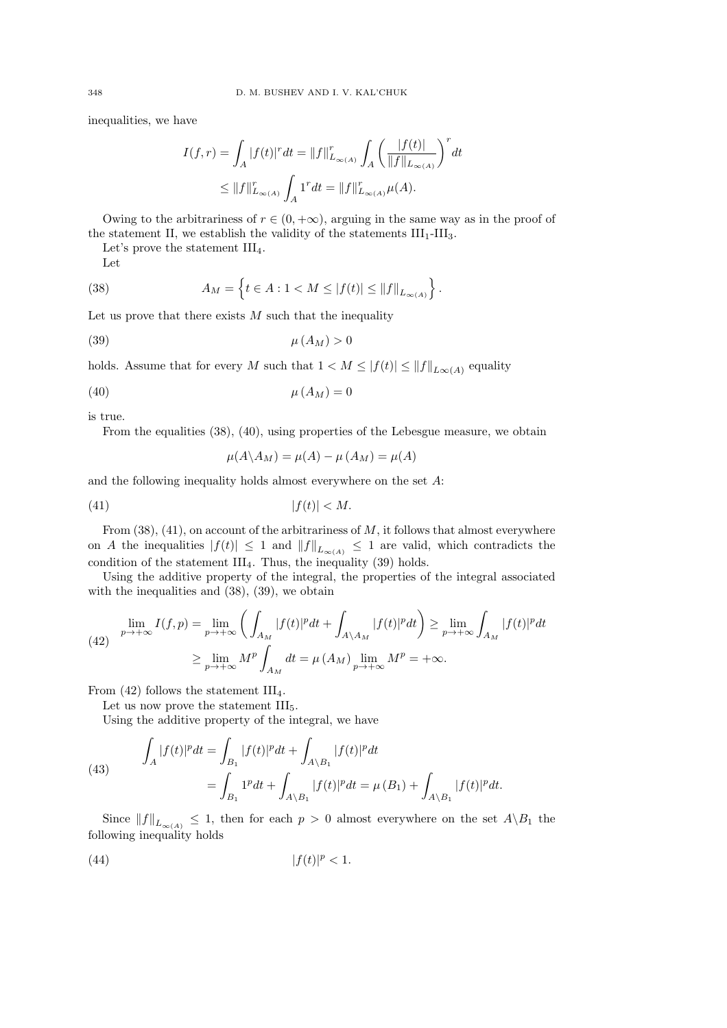inequalities, we have

$$
I(f,r) = \int_A |f(t)|^r dt = ||f||_{L_{\infty(A)}}^r \int_A \left(\frac{|f(t)|}{||f||_{L_{\infty(A)}}}\right)^r dt
$$
  

$$
\leq ||f||_{L_{\infty(A)}}^r \int_A 1^r dt = ||f||_{L_{\infty(A)}}^r \mu(A).
$$

Owing to the arbitrariness of  $r \in (0, +\infty)$ , arguing in the same way as in the proof of the statement II, we establish the validity of the statements  $III<sub>1</sub>-III<sub>3</sub>$ .

Let's prove the statement  $III_4$ .

Let

(38) 
$$
A_M = \left\{ t \in A : 1 < M \le |f(t)| \le ||f||_{L_{\infty}(A)} \right\}.
$$

Let us prove that there exists  $M$  such that the inequality

$$
\mu(A_M) > 0
$$

holds. Assume that for every M such that  $1 < M \leq |f(t)| \leq ||f||_{L^{\infty}(A)}$  equality

$$
\mu(A_M) = 0
$$

is true.

From the equalities (38), (40), using properties of the Lebesgue measure, we obtain

$$
\mu(A \backslash A_M) = \mu(A) - \mu(A_M) = \mu(A)
$$

and the following inequality holds almost everywhere on the set A:

$$
(41) \t\t |f(t)| < M.
$$

From  $(38)$ ,  $(41)$ , on account of the arbitrariness of M, it follows that almost everywhere on A the inequalities  $|f(t)| \leq 1$  and  $||f||_{L_{\infty}(A)} \leq 1$  are valid, which contradicts the condition of the statement  $III_4$ . Thus, the inequality (39) holds.

Using the additive property of the integral, the properties of the integral associated with the inequalities and (38), (39), we obtain

(42) 
$$
\lim_{p \to +\infty} I(f, p) = \lim_{p \to +\infty} \left( \int_{A_M} |f(t)|^p dt + \int_{A \setminus A_M} |f(t)|^p dt \right) \ge \lim_{p \to +\infty} \int_{A_M} |f(t)|^p dt
$$

$$
\ge \lim_{p \to +\infty} M^p \int_{A_M} dt = \mu(A_M) \lim_{p \to +\infty} M^p = +\infty.
$$

From  $(42)$  follows the statement III<sub>4</sub>.

Let us now prove the statement  $III_5$ .

Using the additive property of the integral, we have

(43) 
$$
\int_{A} |f(t)|^{p} dt = \int_{B_{1}} |f(t)|^{p} dt + \int_{A \setminus B_{1}} |f(t)|^{p} dt
$$

$$
= \int_{B_{1}} 1^{p} dt + \int_{A \setminus B_{1}} |f(t)|^{p} dt = \mu(B_{1}) + \int_{A \setminus B_{1}} |f(t)|^{p} dt.
$$

Since  $||f||_{L_{\infty(A)}} \leq 1$ , then for each  $p > 0$  almost everywhere on the set  $A \setminus B_1$  the following inequality holds

$$
(44) \t\t |f(t)|^p < 1.
$$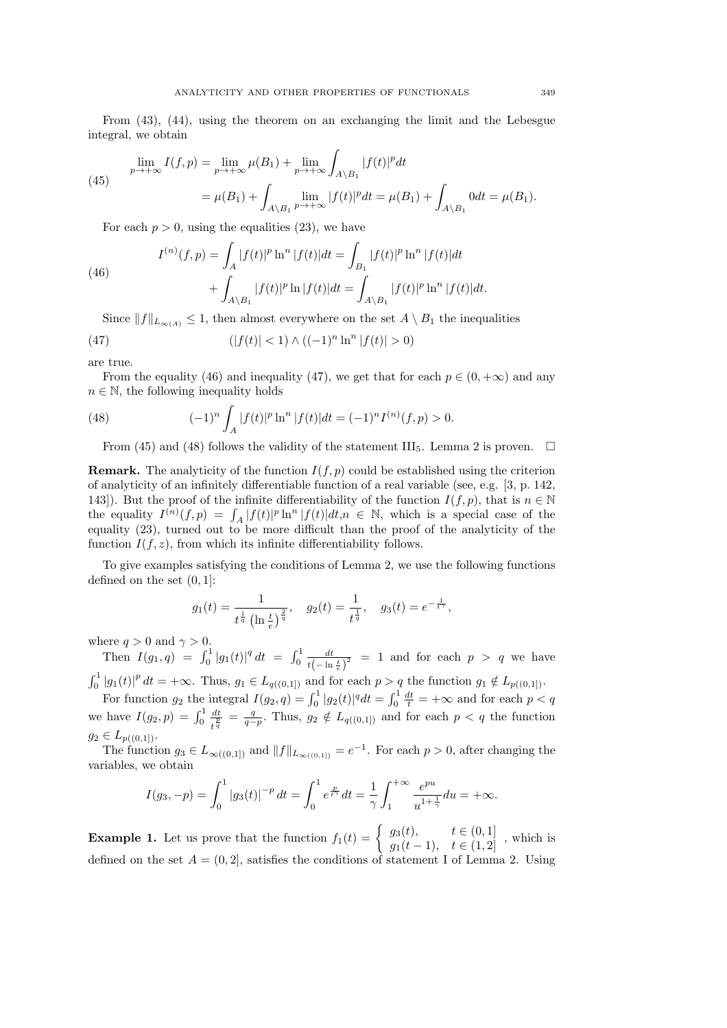From (43), (44), using the theorem on an exchanging the limit and the Lebesgue integral, we obtain

(45) 
$$
\lim_{p \to +\infty} I(f, p) = \lim_{p \to +\infty} \mu(B_1) + \lim_{p \to +\infty} \int_{A \setminus B_1} |f(t)|^p dt
$$

$$
= \mu(B_1) + \int_{A \setminus B_1} \lim_{p \to +\infty} |f(t)|^p dt = \mu(B_1) + \int_{A \setminus B_1} 0 dt = \mu(B_1).
$$

For each  $p > 0$ , using the equalities (23), we have

(46)  

$$
I^{(n)}(f,p) = \int_A |f(t)|^p \ln^n |f(t)| dt = \int_{B_1} |f(t)|^p \ln^n |f(t)| dt + \int_{A \setminus B_1} |f(t)|^p \ln |f(t)| dt = \int_{A \setminus B_1} |f(t)|^p \ln^n |f(t)| dt.
$$

Since  $||f||_{L_{\infty}(A)} \leq 1$ , then almost everywhere on the set  $A \setminus B_1$  the inequalities

(47) 
$$
(|f(t)| < 1) \wedge ((-1)^n \ln^n |f(t)| > 0)
$$

are true.

From the equality (46) and inequality (47), we get that for each  $p \in (0, +\infty)$  and any  $n \in \mathbb{N}$ , the following inequality holds

(48) 
$$
(-1)^n \int_A |f(t)|^p \ln^n |f(t)| dt = (-1)^n I^{(n)}(f, p) > 0.
$$

From (45) and (48) follows the validity of the statement III<sub>5</sub>. Lemma 2 is proven.  $\Box$ 

**Remark.** The analyticity of the function  $I(f, p)$  could be established using the criterion of analyticity of an infinitely differentiable function of a real variable (see, e.g. [3, p. 142, 143]). But the proof of the infinite differentiability of the function  $I(f, p)$ , that is  $n \in \mathbb{N}$ the equality  $I^{(n)}(f, p) = \int_A |f(t)|^p \ln^n |f(t)| dt, n \in \mathbb{N}$ , which is a special case of the equality (23), turned out to be more difficult than the proof of the analyticity of the function  $I(f, z)$ , from which its infinite differentiability follows.

To give examples satisfying the conditions of Lemma 2, we use the following functions defined on the set  $(0, 1]$ :

$$
g_1(t) = \frac{1}{t^{\frac{1}{q}} \left(\ln \frac{t}{e}\right)^{\frac{2}{q}}}, \quad g_2(t) = \frac{1}{t^{\frac{1}{q}}}, \quad g_3(t) = e^{-\frac{1}{t^{\gamma}}},
$$

where  $q > 0$  and  $\gamma > 0$ .

Then  $I(g_1, q) = \int_0^1 |g_1(t)|^q dt = \int_0^1 \frac{dt}{t(-\ln t)}$  $\frac{dt}{( - \ln \frac{t}{e} )^2}$  = 1 and for each  $p > q$  we have

 $\int_0^1 |g_1(t)|^p dt = +\infty$ . Thus,  $g_1 \in L_{q((0,1])}$  and for each  $p > q$  the function  $g_1 \notin L_{p((0,1])}$ .

For function  $g_2$  the integral  $I(g_2, q) = \int_0^1 |g_2(t)|^q dt = \int_0^1 \frac{dt}{t} = +\infty$  and for each  $p < q$ we have  $I(g_2, p) = \int_0^1 \frac{dt}{t_n^p}$  $\frac{dt}{t^{\frac{p}{q}}} = \frac{q}{q-p}$ . Thus,  $g_2 \notin L_{q((0,1])}$  and for each  $p < q$  the function  $g_2 \in L_{p((0,1])}.$ 

The function  $g_3 \in L_{\infty((0,1])}$  and  $||f||_{L_{\infty((0,1])}} = e^{-1}$ . For each  $p > 0$ , after changing the variables, we obtain

$$
I(g_3, -p) = \int_0^1 |g_3(t)|^{-p} dt = \int_0^1 e^{\frac{p}{t^{\gamma}}} dt = \frac{1}{\gamma} \int_1^{+\infty} \frac{e^{pu}}{u^{1 + \frac{1}{\gamma}}} du = +\infty.
$$

**Example 1.** Let us prove that the function  $f_1(t) = \begin{cases} g_3(t), & t \in (0,1] \\ g_1(t-1), & t \in (1,2] \end{cases}$ , which is defined on the set  $A = (0, 2]$ , satisfies the conditions of statement I of Lemma 2. Using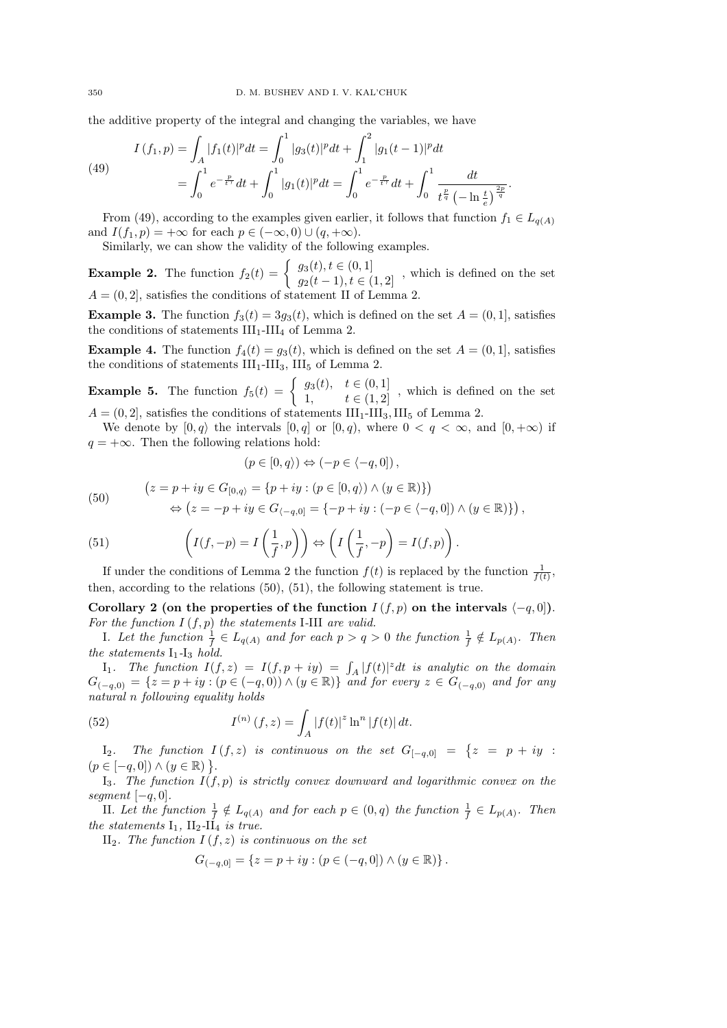the additive property of the integral and changing the variables, we have

(49) 
$$
I(f_1, p) = \int_A |f_1(t)|^p dt = \int_0^1 |g_3(t)|^p dt + \int_1^2 |g_1(t-1)|^p dt
$$

$$
= \int_0^1 e^{-\frac{p}{t\gamma}} dt + \int_0^1 |g_1(t)|^p dt = \int_0^1 e^{-\frac{p}{t\gamma}} dt + \int_0^1 \frac{dt}{t^{\frac{p}{q}} (-\ln \frac{t}{e})^{\frac{2p}{q}}}.
$$

From (49), according to the examples given earlier, it follows that function  $f_1 \in L_{q(A)}$ and  $I(f_1, p) = +\infty$  for each  $p \in (-\infty, 0) \cup (q, +\infty)$ .

Similarly, we can show the validity of the following examples.

**Example 2.** The function  $f_2(t) = \begin{cases} g_3(t), t \in (0,1] \\ g_2(t-1), t \in (1,2] \end{cases}$ , which is defined on the set  $A = (0, 2]$ , satisfies the conditions of statement II of Lemma 2.

**Example 3.** The function  $f_3(t) = 3g_3(t)$ , which is defined on the set  $A = (0, 1]$ , satisfies the conditions of statements  $\rm III_1\text{-}III_4$  of Lemma 2.

**Example 4.** The function  $f_4(t) = g_3(t)$ , which is defined on the set  $A = (0, 1]$ , satisfies the conditions of statements  $III<sub>1</sub>$ -III<sub>3</sub>, III<sub>5</sub> of Lemma 2.

**Example 5.** The function  $f_5(t) = \begin{cases} g_3(t), & t \in (0,1] \\ 1, & t \in (1,2] \end{cases}$ , which is defined on the set  $A = (0, 2]$ , satisfies the conditions of statements  $III<sub>1</sub>$ -III<sub>3</sub>, III<sub>5</sub> of Lemma 2.

We denote by  $[0, q \rangle$  the intervals  $[0, q]$  or  $[0, q)$ , where  $0 < q < \infty$ , and  $[0, +\infty)$  if  $q = +\infty$ . Then the following relations hold:

$$
(p \in [0, q\rangle) \Leftrightarrow (-p \in \langle -q, 0] )\,,
$$

(50) 
$$
(z = p + iy \in G_{[0,q)} = \{p + iy : (p \in [0,q)) \land (y \in \mathbb{R})\})
$$

$$
\Leftrightarrow (z = -p + iy \in G_{\langle -q,0]} = \{-p + iy : (-p \in \langle -q,0] \rangle \land (y \in \mathbb{R})\}),
$$

(51) 
$$
\left(I(f,-p) = I\left(\frac{1}{f},p\right)\right) \Leftrightarrow \left(I\left(\frac{1}{f},-p\right) = I(f,p)\right).
$$

If under the conditions of Lemma 2 the function  $f(t)$  is replaced by the function  $\frac{1}{f(t)}$ , then, according to the relations (50), (51), the following statement is true.

Corollary 2 (on the properties of the function  $I(f, p)$  on the intervals  $\langle -q, 0 |$ ). *For the function* I (f, p) *the statements* I*-*III *are valid.*

*I. Let the function*  $\frac{1}{f} \in L_{q(A)}$  and for each  $p > q > 0$  the function  $\frac{1}{f} \notin L_{p(A)}$ *. Then the statements*  $I_1$ - $I_3$  *hold.* 

 $I_1$ *. The function*  $I(f, z) = I(f, p + iy) = \int_A |f(t)|^z dt$  *is analytic on the domain*  $G_{(-q,0)} = \{z = p + iy : (p ∈ (-q,0)) \land (y ∈ ℝ)\}\$  *and for every*  $z ∈ G_{(-q,0)}$  *and for any natural* n *following equality holds*

(52) 
$$
I^{(n)}(f,z) = \int_A |f(t)|^z \ln^n |f(t)| dt.
$$

 $I_2$ *.* The function  $I(f, z)$  is continuous on the set  $G_{[-q,0]}$  =  $\{z = p + iy\}$  $(p \in [-q, 0]) \wedge (y \in \mathbb{R})$ .

 $I_3$ . The function  $I(f, p)$  is strictly convex downward and logarithmic convex on the *segment* [−q, 0]*.*

II. Let the function  $\frac{1}{f} \notin L_{q(A)}$  and for each  $p \in (0, q)$  the function  $\frac{1}{f} \in L_{p(A)}$ . Then *the statements*  $I_1$ ,  $II_2$ - $II_4$  *is true.* 

II<sub>2</sub>. The function  $I(f, z)$  is continuous on the set

$$
G_{(-q,0]} = \{ z = p + iy : (p \in (-q,0]) \wedge (y \in \mathbb{R}) \}.
$$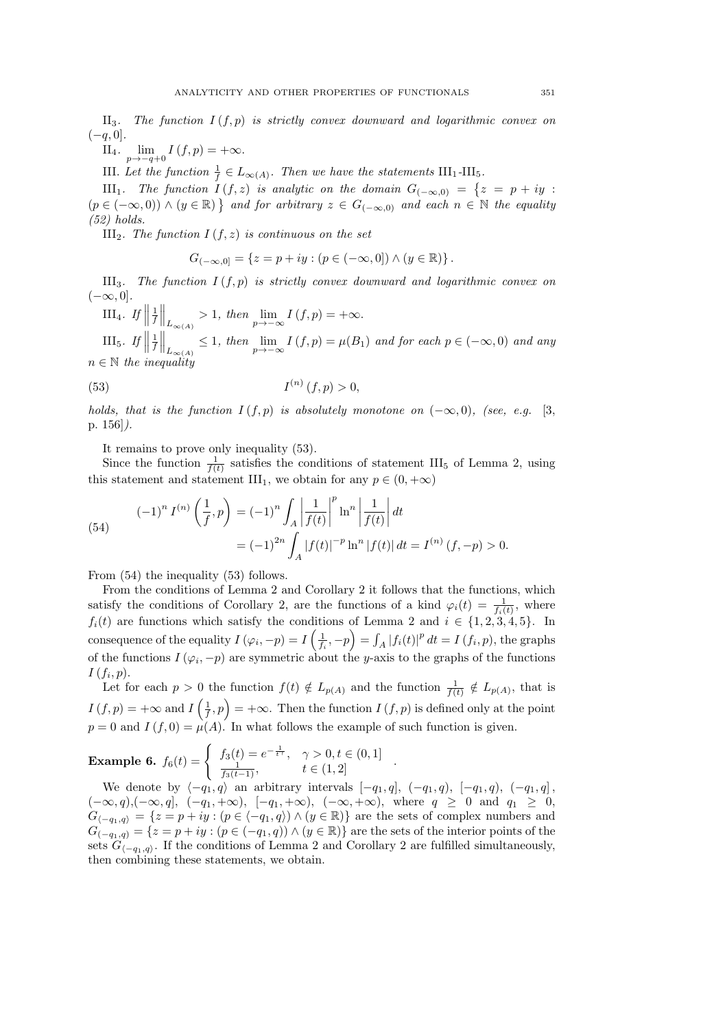$II<sub>3</sub>$ . The function  $I(f, p)$  is strictly convex downward and logarithmic convex on  $(-q, 0]$ *.* 

II<sub>4</sub>.  $\lim_{p \to -q+0} I(f, p) = +\infty$ .

III. Let the function  $\frac{1}{f} \in L_{\infty(A)}$ . Then we have the statements  $III_1$ -III<sub>5</sub>.

III<sub>1</sub>. The function  $I(f, z)$  is analytic on the domain  $G_{(-\infty,0)} = \{z = p + iy :$  $(p \in (-\infty, 0)) \wedge (y \in \mathbb{R})$  *and for arbitrary*  $z \in G_{(-\infty,0)}$  *and each*  $n \in \mathbb{N}$  *the equality (52) holds.*

III<sub>2</sub>*. The function*  $I(f, z)$  *is continuous on the set* 

$$
G_{(-\infty,0]}=\left\{z=p+iy:(p\in (-\infty,0])\wedge (y\in\mathbb{R})\right\}.
$$

III<sub>3</sub>*. The function*  $I(f, p)$  *is strictly convex downward and logarithmic convex on*  $(-\infty, 0]$ *.* 

 $\text{III}_4$ . If  $\Vert$  $\frac{1}{f}\Big\|_{L_{\infty(A)}} > 1$ , then  $\lim_{p \to -\infty} I(f, p) = +\infty$ .

III<sub>5</sub>. If  $\Vert$  $\frac{1}{f}\Big\|_{L_{\infty(A)}} \leq 1$ , then  $\lim_{p\to -\infty} I(f,p) = \mu(B_1)$  and for each  $p \in (-\infty,0)$  and any  $n \in \mathbb{N}$  the inequality

(53) 
$$
I^{(n)}(f, p) > 0,
$$

*holds, that is the function*  $I(f, p)$  *is absolutely monotone on*  $(-\infty, 0)$ *, (see, e.g.* [3, p. 156]*).*

It remains to prove only inequality (53).

Since the function  $\frac{1}{f(t)}$  satisfies the conditions of statement III<sub>5</sub> of Lemma 2, using this statement and statement III<sub>1</sub>, we obtain for any  $p \in (0, +\infty)$ 

(54)  

$$
(-1)^n I^{(n)}\left(\frac{1}{f}, p\right) = (-1)^n \int_A \left|\frac{1}{f(t)}\right|^p \ln^n \left|\frac{1}{f(t)}\right| dt
$$

$$
= (-1)^{2n} \int_A |f(t)|^{-p} \ln^n |f(t)| dt = I^{(n)}(f, -p) > 0.
$$

From (54) the inequality (53) follows.

From the conditions of Lemma 2 and Corollary 2 it follows that the functions, which satisfy the conditions of Corollary 2, are the functions of a kind  $\varphi_i(t) = \frac{1}{f_i(t)}$ , where  $f_i(t)$  are functions which satisfy the conditions of Lemma 2 and  $i \in \{1, 2, 3, 4, 5\}$ . In consequence of the equality  $I(\varphi_i, -p) = I\left(\frac{1}{f_i}, -p\right) = \int_A |f_i(t)|^p dt = I(f_i, p)$ , the graphs of the functions  $I(\varphi_i, -p)$  are symmetric about the y-axis to the graphs of the functions  $I(f_i,p).$ 

Let for each  $p > 0$  the function  $f(t) \notin L_{p(A)}$  and the function  $\frac{1}{f(t)} \notin L_{p(A)}$ , that is  $I(f, p) = +\infty$  and  $I\left(\frac{1}{f}, p\right) = +\infty$ . Then the function  $I(f, p)$  is defined only at the point  $p = 0$  and  $I(f, 0) = \mu(A)$ . In what follows the example of such function is given.

**Example 6.** 
$$
f_6(t) = \begin{cases} f_3(t) = e^{-\frac{1}{t\gamma}}, & \gamma > 0, t \in (0, 1] \\ \frac{1}{f_3(t-1)}, & t \in (1, 2] \end{cases}
$$
.

We denote by  $\langle -q_1, q \rangle$  an arbitrary intervals  $[-q_1, q]$ ,  $(-q_1, q)$ ,  $[-q_1, q)$ ,  $(-q_1, q]$ ,  $(-\infty, q), (-\infty, q], (-q_1, +\infty), [-q_1, +\infty), (-\infty, +\infty), \text{ where } q \geq 0 \text{ and } q_1 \geq 0,$  $G_{\langle -q_1,q\rangle} = \{z = p + iy : (p \in \langle -q_1,q\rangle) \wedge (y \in \mathbb{R})\}$  are the sets of complex numbers and  $G_{(-q_1,q)} = \{z = p + iy : (p \in (-q_1,q)) \wedge (y \in \mathbb{R})\}$  are the sets of the interior points of the sets  $G_{\langle -q_1, q \rangle}$ . If the conditions of Lemma 2 and Corollary 2 are fulfilled simultaneously, then combining these statements, we obtain.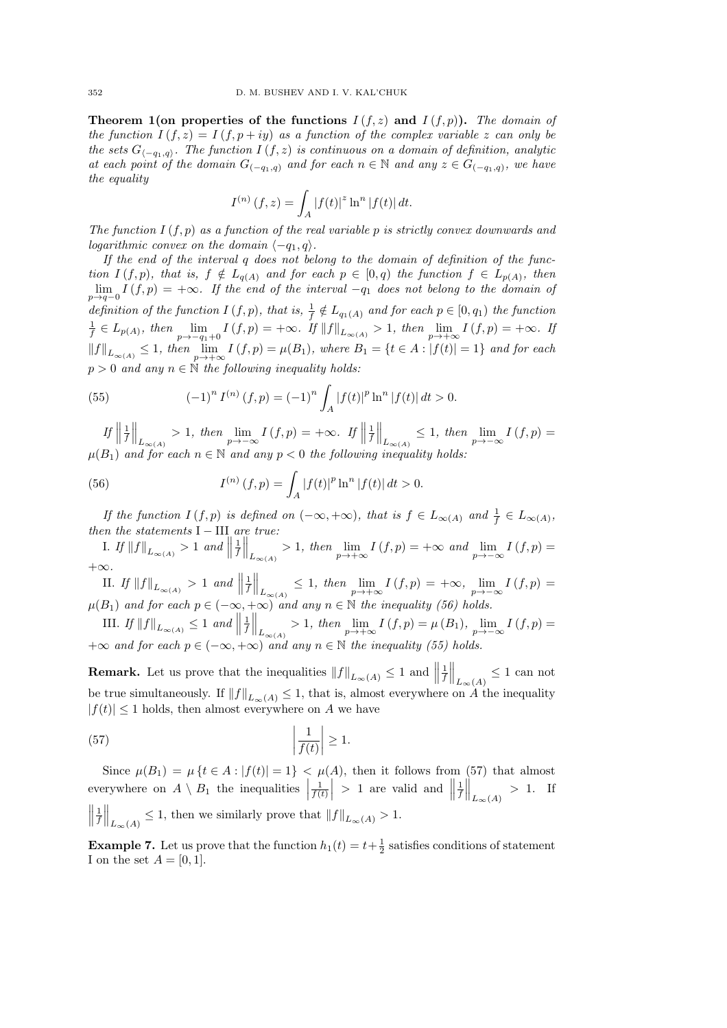**Theorem 1(on properties of the functions**  $I(f, z)$  and  $I(f, p)$ ). The domain of *the function*  $I(f, z) = I(f, p + iy)$  *as a function of the complex variable* z *can only be the sets*  $G_{\langle -q_1,q \rangle}$ *. The function*  $I(f, z)$  *is continuous on a domain of definition, analytic at each point of the domain*  $G_{(-q_1,q)}$  *and for each*  $n \in \mathbb{N}$  *and any*  $z \in G_{(-q_1,q)}$ *, we have the equality*

$$
I^{(n)}(f,z) = \int_A |f(t)|^z \ln^n |f(t)| dt.
$$

*The function* I (f, p) *as a function of the real variable* p *is strictly convex downwards and logarithmic convex on the domain*  $\langle -q_1, q \rangle$ *.* 

*If the end of the interval* q *does not belong to the domain of definition of the function*  $I(f, p)$ *, that is,*  $f \notin L_{q(A)}$  *and for each*  $p \in [0, q)$  *the function*  $f \in L_{p(A)}$ *, then*  $\lim_{p\to q-0} I(f,p) = +\infty$ *. If the end of the interval*  $-q_1$  *does not belong to the domain of* definition of the function  $I(f, p)$ , that is,  $\frac{1}{f} \notin L_{q_1(A)}$  and for each  $p \in [0, q_1)$  the function  $\frac{1}{f} \in L_{p(A)}, \text{ then } \lim_{p \to -q_1+0} I(f, p) = +\infty. \text{ If } ||f||_{L_{\infty(A)}} > 1, \text{ then } \lim_{p \to +\infty} I(f, p) = +\infty. \text{ If }$  $||f||_{L_{∞(A)}} ≤ 1$ *, then*  $\lim_{p→+\infty} I(f,p) = μ(B_1)$ *, where*  $B_1 = {t ∈ A : |f(t)| = 1}$  *and for each*  $p > 0$  *and any*  $n \in \mathbb{N}$  *the following inequality holds:* 

(55) 
$$
(-1)^n I^{(n)}(f, p) = (-1)^n \int_A |f(t)|^p \ln^n |f(t)| dt > 0.
$$

*If*  $\frac{1}{f}$  $\Big\|_{L_{\infty(A)}} > 1$ , then  $\lim_{p \to -\infty} I(f, p) = +\infty$ . If  $\Big\|$  $\frac{1}{f}\Big\|_{L_{\infty(A)}} \leq 1, \text{ then } \lim_{p\to-\infty} I(f,p) =$  $\mu(B_1)$  and for each  $n \in \mathbb{N}$  and any  $p < 0$  the following inequality holds:

(56) 
$$
I^{(n)}(f,p) = \int_A |f(t)|^p \ln^n |f(t)| dt > 0.
$$

*If the function*  $I(f, p)$  *is defined on*  $(-\infty, +\infty)$ *, that is*  $f \in L_{\infty(A)}$  *and*  $\frac{1}{f} \in L_{\infty(A)}$ *, then the statements* I − III *are true:* 

*I. If*  $||f||_{L_{∞(A)}} > 1$  *and*  $||$  $\frac{1}{f}$  $\Big\|_{L_{\infty(A)}} > 1$ , then  $\lim_{p \to +\infty} I(f, p) = +\infty$  and  $\lim_{p \to -\infty} I(f, p) =$ +∞*.*

II. If 
$$
||f||_{L_{\infty(A)}} > 1
$$
 and  $||\frac{1}{f}||_{L_{\infty(A)}} \leq 1$ , then  $\lim_{p \to +\infty} I(f, p) = +\infty$ ,  $\lim_{p \to -\infty} I(f, p) = \mu(B_1)$  and for each  $p \in (-\infty, +\infty)$  and any  $n \in \mathbb{N}$  the inequality (56) holds.

**III.** *If*  $||f||_{L_{\infty(A)}} \leq 1$  *and*  $||$  $\frac{1}{f}$  $\Big\|_{L_{\infty(A)}} > 1$ , then  $\lim_{p \to +\infty} I(f, p) = \mu(B_1)$ ,  $\lim_{p \to -\infty} I(f, p) =$  $+\infty$  *and for each*  $p \in (-\infty, +\infty)$  *and any*  $n \in \mathbb{N}$  *the inequality (55) holds.* 

**Remark.** Let us prove that the inequalities  $||f||_{L_{\infty}(A)} \leq 1$  and  $||$  $\frac{1}{f}\Big\|_{L_{\infty}(A)} \leq 1$  can not be true simultaneously. If  $||f||_{L_{\infty}(A)} \leq 1$ , that is, almost everywhere on A the inequality  $|f(t)| \leq 1$  holds, then almost everywhere on A we have

(57) 
$$
\left|\frac{1}{f(t)}\right| \geq 1.
$$

Since  $\mu(B_1) = \mu \{t \in A : |f(t)| = 1\} < \mu(A)$ , then it follows from (57) that almost everywhere on  $A \setminus B_1$  the inequalities  $\Big|$  $\left| \frac{1}{f(t)} \right| > 1$  are valid and  $\|$  $\frac{1}{f}\Big\|_{L_{\infty}(A)} > 1$ . If  $\frac{1}{f}$  $\Big\|_{L_{\infty}(A)} \leq 1$ , then we similarly prove that  $||f||_{L_{\infty}(A)} > 1$ .

**Example 7.** Let us prove that the function  $h_1(t) = t + \frac{1}{2}$  satisfies conditions of statement I on the set  $A = [0, 1].$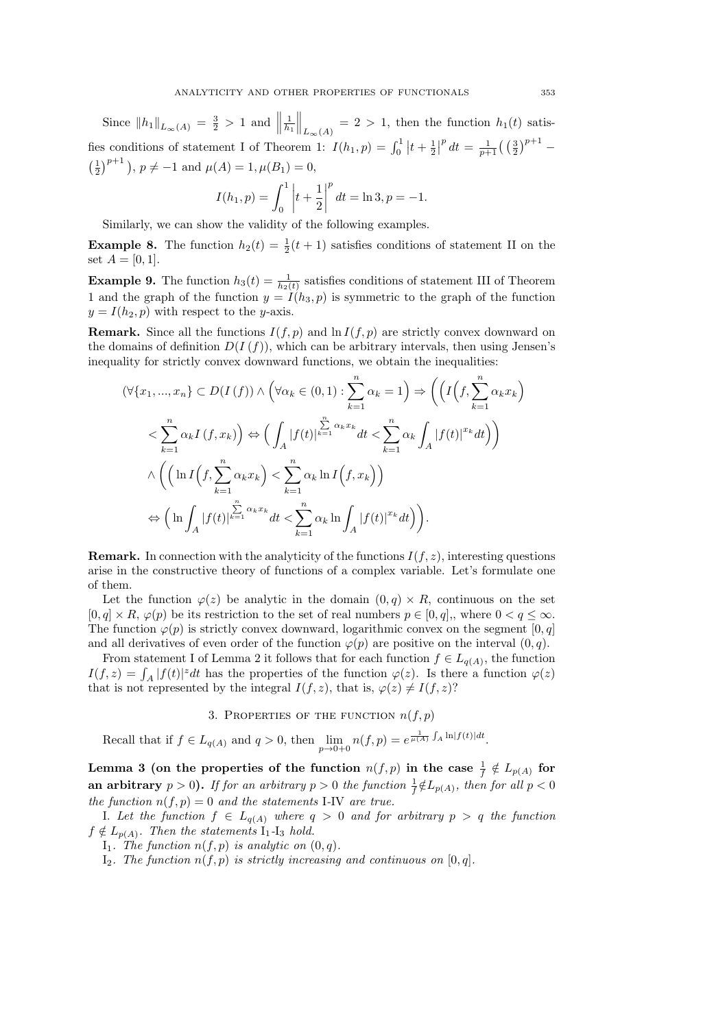Since  $||h_1||_{L_{\infty}(A)} = \frac{3}{2} > 1$  and  $||$  $\frac{1}{h_1}$  $\Big\|_{L_{\infty}(A)} = 2 > 1$ , then the function  $h_1(t)$  satisfies conditions of statement I of Theorem 1:  $I(h_1, p) = \int_0^1 |t + \frac{1}{2}|^p dt = \frac{1}{p+1} ((\frac{3}{2})^{p+1} \left(\frac{1}{2}\right)^{p+1}$ ,  $p \neq -1$  and  $\mu(A) = 1, \mu(B_1) = 0$ ,

$$
I(h_1, p) = \int_0^1 \left| t + \frac{1}{2} \right|^p dt = \ln 3, p = -1.
$$

Similarly, we can show the validity of the following examples.

**Example 8.** The function  $h_2(t) = \frac{1}{2}(t+1)$  satisfies conditions of statement II on the set  $A = [0, 1].$ 

**Example 9.** The function  $h_3(t) = \frac{1}{h_2(t)}$  satisfies conditions of statement III of Theorem 1 and the graph of the function  $y = I(h_3, p)$  is symmetric to the graph of the function  $y = I(h_2, p)$  with respect to the y-axis.

**Remark.** Since all the functions  $I(f, p)$  and  $\ln I(f, p)$  are strictly convex downward on the domains of definition  $D(I(f))$ , which can be arbitrary intervals, then using Jensen's inequality for strictly convex downward functions, we obtain the inequalities:

$$
(\forall \{x_1, ..., x_n\} \subset D(I(f)) \land \left(\forall \alpha_k \in (0,1) : \sum_{k=1}^n \alpha_k = 1\right) \Rightarrow \left(\left(I\left(f, \sum_{k=1}^n \alpha_k x_k\right)\right) \le \sum_{k=1}^n \alpha_k I\left(f, x_k\right)\right) \Leftrightarrow \left(\int_A |f(t)|^{\sum_{k=1}^n \alpha_k x_k} dt < \sum_{k=1}^n \alpha_k \int_A |f(t)|^{x_k} dt\right)\right)
$$
\n
$$
\land \left(\left(\ln I\left(f, \sum_{k=1}^n \alpha_k x_k\right) < \sum_{k=1}^n \alpha_k \ln I\left(f, x_k\right)\right)\right)
$$
\n
$$
\Leftrightarrow \left(\ln \int_A |f(t)|^{\sum_{k=1}^n \alpha_k x_k} dt < \sum_{k=1}^n \alpha_k \ln \int_A |f(t)|^{x_k} dt\right).
$$

**Remark.** In connection with the analyticity of the functions  $I(f, z)$ , interesting questions arise in the constructive theory of functions of a complex variable. Let's formulate one of them.

Let the function  $\varphi(z)$  be analytic in the domain  $(0, q) \times R$ , continuous on the set  $[0, q] \times R$ ,  $\varphi(p)$  be its restriction to the set of real numbers  $p \in [0, q]$ , where  $0 < q \leq \infty$ . The function  $\varphi(p)$  is strictly convex downward, logarithmic convex on the segment [0, q] and all derivatives of even order of the function  $\varphi(p)$  are positive on the interval  $(0, q)$ .

From statement I of Lemma 2 it follows that for each function  $f \in L_{q(A)}$ , the function  $I(f, z) = \int_A |f(t)|^z dt$  has the properties of the function  $\varphi(z)$ . Is there a function  $\varphi(z)$ that is not represented by the integral  $I(f, z)$ , that is,  $\varphi(z) \neq I(f, z)$ ?

3. PROPERTIES OF THE FUNCTION  $n(f, p)$ 

Recall that if  $f \in L_{q(A)}$  and  $q > 0$ , then  $\lim_{p \to 0+0} n(f, p) = e^{\frac{1}{\mu(A)} \int_A \ln|f(t)| dt}$ .

Lemma 3 (on the properties of the function  $n(f,p)$  in the case  $\frac{1}{f}\notin L_{p(A)}$  for an arbitrary  $p > 0$ ). If for an arbitrary  $p > 0$  the function  $\frac{1}{f} \notin L_{p(A)}$ , then for all  $p < 0$ *the function*  $n(f, p) = 0$  *and the statements* I-IV *are true.* 

I. Let the function  $f$  ∈  $L_{q(A)}$  where  $q > 0$  and for arbitrary  $p > q$  the function  $f \notin L_{p(A)}$ . Then the statements  $I_1$ -I<sub>3</sub> hold.

I<sub>1</sub>. The function  $n(f, p)$  is analytic on  $(0, q)$ .

I<sub>2</sub>*. The function*  $n(f, p)$  *is strictly increasing and continuous on* [0, q]*.*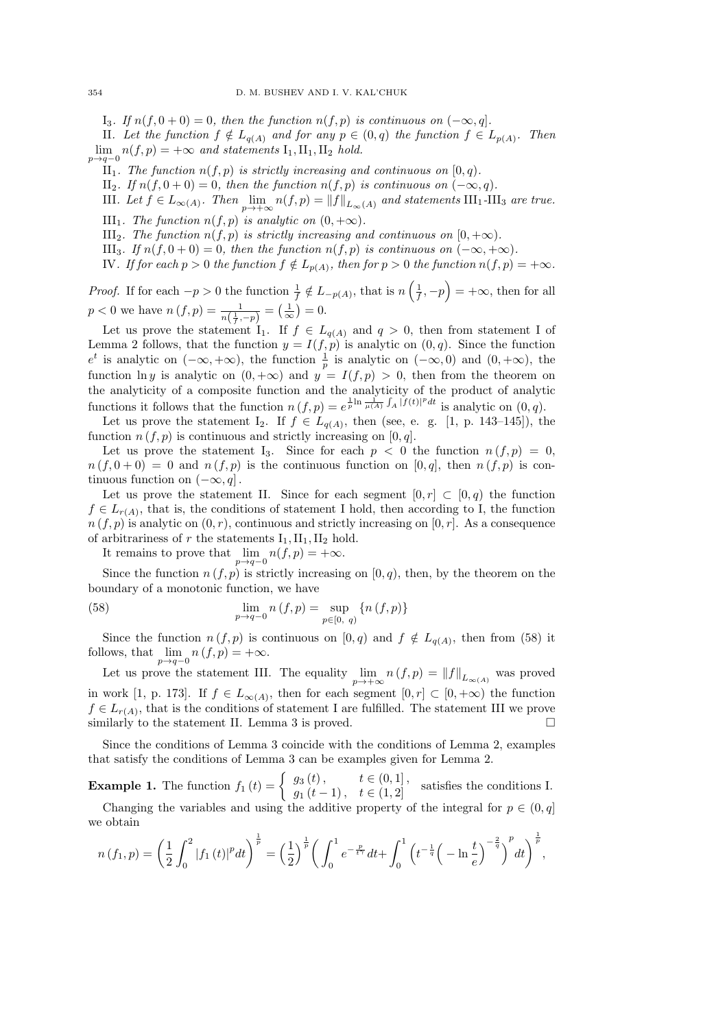I<sub>3</sub>*.* If  $n(f, 0 + 0) = 0$ , then the function  $n(f, p)$  is continuous on  $(-\infty, q]$ .

II. Let the function  $f \notin L_{q(A)}$  and for any  $p \in (0,q)$  the function  $f \in L_{p(A)}$ . Then  $\lim_{p\to q-0} n(f, p) = +\infty$  and statements  $I_1, II_1, II_2$  hold.

- II<sub>1</sub>. The function  $n(f, p)$  is strictly increasing and continuous on  $[0, q)$ .
- II<sub>2</sub>*.* If  $n(f, 0 + 0) = 0$ , then the function  $n(f, p)$  is continuous on  $(-\infty, q)$ .
- III. Let  $f \in L_{\infty(A)}$ . Then  $\lim_{p \to +\infty} n(f, p) = ||f||_{L_{\infty}(A)}$  and statements  $III_1$ -III<sub>3</sub> are true.
- III<sub>1</sub>*. The function*  $n(f, p)$  *is analytic on*  $(0, +\infty)$ *.*
- III<sub>2</sub>*. The function*  $n(f, p)$  *is strictly increasing and continuous on*  $[0, +\infty)$ *.*
- III<sub>3</sub>*. If*  $n(f, 0 + 0) = 0$ *, then the function*  $n(f, p)$  *is continuous on*  $(-\infty, +\infty)$ *.*
- IV. If for each  $p > 0$  the function  $f \notin L_{p(A)}$ , then for  $p > 0$  the function  $n(f, p) = +\infty$ .

*Proof.* If for each  $-p > 0$  the function  $\frac{1}{f} \notin L_{-p(A)}$ , that is  $n\left(\frac{1}{f}, -p\right) = +\infty$ , then for all  $p < 0$  we have  $n(f, p) = \frac{1}{n(\frac{1}{f}, -p)} = (\frac{1}{\infty})$  $\frac{1}{\infty}$ ) = 0.

Let us prove the statement  $I_1$ . If  $f \in L_{q(A)}$  and  $q > 0$ , then from statement I of Lemma 2 follows, that the function  $y = I(f, p)$  is analytic on  $(0, q)$ . Since the function  $e^t$  is analytic on  $(-\infty, +\infty)$ , the function  $\frac{1}{p}$  is analytic on  $(-\infty, 0)$  and  $(0, +\infty)$ , the function ln y is analytic on  $(0, +\infty)$  and  $y = I(f, p) > 0$ , then from the theorem on the analyticity of a composite function and the analyticity of the product of analytic functions it follows that the function  $n(f, p) = e^{\frac{1}{p} \ln \frac{1}{\mu(A)} \int_A |f(t)|^p dt}$  is analytic on  $(0, q)$ .

Let us prove the statement I<sub>2</sub>. If  $f \in L_{q(A)}$ , then (see, e. g. [1, p. 143–145]), the function  $n(f, p)$  is continuous and strictly increasing on [0, q].

Let us prove the statement I<sub>3</sub>. Since for each  $p < 0$  the function  $n(f, p) = 0$ ,  $n (f, 0 + 0) = 0$  and  $n (f, p)$  is the continuous function on [0, q], then  $n (f, p)$  is continuous function on  $(-\infty, q]$ .

Let us prove the statement II. Since for each segment  $[0, r] \subset [0, q)$  the function  $f \in L_{r(A)}$ , that is, the conditions of statement I hold, then according to I, the function  $n(f, p)$  is analytic on  $(0, r)$ , continuous and strictly increasing on  $[0, r]$ . As a consequence of arbitrariness of r the statements  $I_1, II_1, II_2$  hold.

It remains to prove that  $\lim_{p\to q-0} n(f, p) = +\infty$ .

Since the function  $n(f, p)$  is strictly increasing on  $[0, q)$ , then, by the theorem on the boundary of a monotonic function, we have

(58) 
$$
\lim_{p \to q-0} n(f, p) = \sup_{p \in [0, q)} \{n(f, p)\}
$$

Since the function  $n(f, p)$  is continuous on  $[0, q)$  and  $f \notin L_{q(A)}$ , then from (58) it follows, that  $\lim_{p\to q-0} n(f, p) = +\infty$ .

Let us prove the statement III. The equality  $\lim_{p \to +\infty} n(f, p) = ||f||_{L_{\infty}(A)}$  was proved in work [1, p. 173]. If  $f \in L_{\infty(A)}$ , then for each segment  $[0, r] \subset [0, +\infty)$  the function  $f \in L_{r(A)}$ , that is the conditions of statement I are fulfilled. The statement III we prove similarly to the statement II. Lemma 3 is proved.  $\Box$ 

Since the conditions of Lemma 3 coincide with the conditions of Lemma 2, examples that satisfy the conditions of Lemma 3 can be examples given for Lemma 2.

**Example 1.** The function  $f_1(t) = \begin{cases} g_3(t), & t \in (0,1], \\ g_1(t-1), & t \in (1,2] \end{cases}$  satisfies the conditions I.

Changing the variables and using the additive property of the integral for  $p \in (0, q]$ we obtain

$$
n(f_1, p) = \left(\frac{1}{2} \int_0^2 |f_1(t)|^p dt\right)^{\frac{1}{p}} = \left(\frac{1}{2}\right)^{\frac{1}{p}} \left(\int_0^1 e^{-\frac{p}{t^{\gamma}}} dt + \int_0^1 \left(t^{-\frac{1}{q}} \left(-\ln \frac{t}{e}\right)^{-\frac{2}{q}}\right)^p dt\right)^{\frac{1}{p}},
$$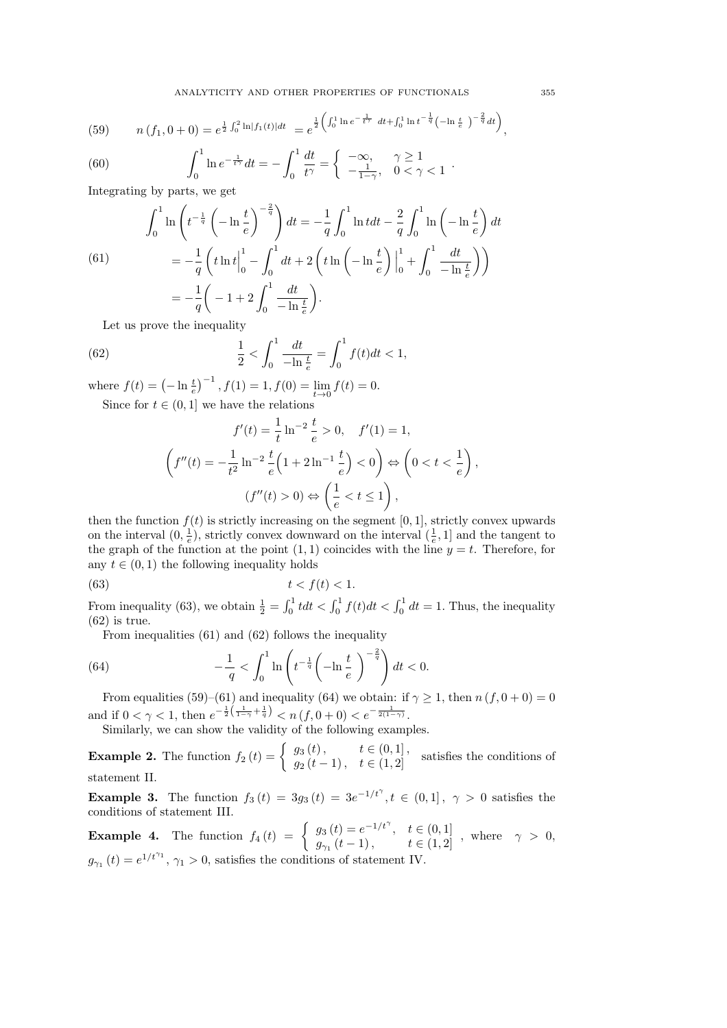(59) 
$$
n(f_1, 0+0) = e^{\frac{1}{2}\int_0^2 \ln|f_1(t)|dt} = e^{\frac{1}{2}\left(\int_0^1 \ln e^{-\frac{1}{t\gamma}} dt + \int_0^1 \ln t^{-\frac{1}{q}} (-\ln \frac{t}{e})^{-\frac{2}{q}} dt\right)}
$$

(60) 
$$
\int_0^1 \ln e^{-\frac{1}{t^{\gamma}}} dt = -\int_0^1 \frac{dt}{t^{\gamma}} = \begin{cases} -\infty, & \gamma \ge 1 \\ -\frac{1}{1-\gamma}, & 0 < \gamma < 1 \end{cases}
$$

Integrating by parts, we get

(61)  

$$
\int_0^1 \ln\left(t^{-\frac{1}{q}}\left(-\ln\frac{t}{e}\right)^{-\frac{2}{q}}\right)dt = -\frac{1}{q}\int_0^1 \ln t dt - \frac{2}{q}\int_0^1 \ln\left(-\ln\frac{t}{e}\right)dt
$$

$$
= -\frac{1}{q}\left(t\ln t\Big|_0^1 - \int_0^1 dt + 2\left(t\ln\left(-\ln\frac{t}{e}\right)\Big|_0^1 + \int_0^1 \frac{dt}{-\ln\frac{t}{e}}\right)\right)
$$

$$
= -\frac{1}{q}\left(-1 + 2\int_0^1 \frac{dt}{-\ln\frac{t}{e}}\right).
$$

Let us prove the inequality

(62) 
$$
\frac{1}{2} < \int_0^1 \frac{dt}{-\ln\frac{t}{e}} = \int_0^1 f(t)dt < 1,
$$

where  $f(t) = \left(-\ln \frac{t}{e}\right)^{-1}$ ,  $f(1) = 1$ ,  $f(0) = \lim_{t \to 0} f(t) = 0$ . Since for  $t \in (0,1]$  we have the relations

$$
f'(t) = \frac{1}{t} \ln^{-2} \frac{t}{e} > 0, \quad f'(1) = 1,
$$
  

$$
\left(f''(t) = -\frac{1}{t^2} \ln^{-2} \frac{t}{e} \left(1 + 2 \ln^{-1} \frac{t}{e}\right) < 0\right) \Leftrightarrow \left(0 < t < \frac{1}{e}\right),
$$
  

$$
(f''(t) > 0) \Leftrightarrow \left(\frac{1}{e} < t \le 1\right),
$$

then the function  $f(t)$  is strictly increasing on the segment [0, 1], strictly convex upwards on the interval  $(0, \frac{1}{e})$ , strictly convex downward on the interval  $(\frac{1}{e}, 1]$  and the tangent to the graph of the function at the point  $(1, 1)$  coincides with the line  $y = t$ . Therefore, for any  $t \in (0, 1)$  the following inequality holds

$$
(63) \t t < f(t) < 1.
$$

From inequality (63), we obtain  $\frac{1}{2} = \int_0^1 t dt < \int_0^1 f(t) dt < \int_0^1 dt = 1$ . Thus, the inequality  $(62)$  is true.

From inequalities (61) and (62) follows the inequality

(64) 
$$
-\frac{1}{q} < \int_0^1 \ln \left( t^{-\frac{1}{q}} \left( -\ln \frac{t}{e} \right)^{-\frac{2}{q}} \right) dt < 0.
$$

From equalities (59)–(61) and inequality (64) we obtain: if  $\gamma \geq 1$ , then  $n(f, 0 + 0) = 0$ and if  $0 < \gamma < 1$ , then  $e^{-\frac{1}{2}(\frac{1}{1-\gamma}+\frac{1}{q})} < n(f, 0+0) < e^{-\frac{1}{2(1-\gamma)}}$ .

Similarly, we can show the validity of the following examples.

**Example 2.** The function  $f_2(t) = \begin{cases} g_3(t), & t \in (0,1], \\ g_2(t-1), & t \in (1,2] \end{cases}$  satisfies the conditions of statement II.

**Example 3.** The function  $f_3(t) = 3g_3(t) = 3e^{-1/t^{\gamma}}, t \in (0,1], \gamma > 0$  satisfies the conditions of statement III.

**Example 4.** The function  $f_4(t) = \begin{cases} g_3(t) = e^{-1/t^{\gamma}}, & t \in (0,1] \\ g_4(t-1) & t \in (1,2] \end{cases}$  $g_{\gamma_1}(t-1)$ ,  $t \in (1,2]$ , where  $\gamma > 0$ ,  $g_{\gamma_1}(t) = e^{1/t^{\gamma_1}}, \gamma_1 > 0$ , satisfies the conditions of statement IV.

,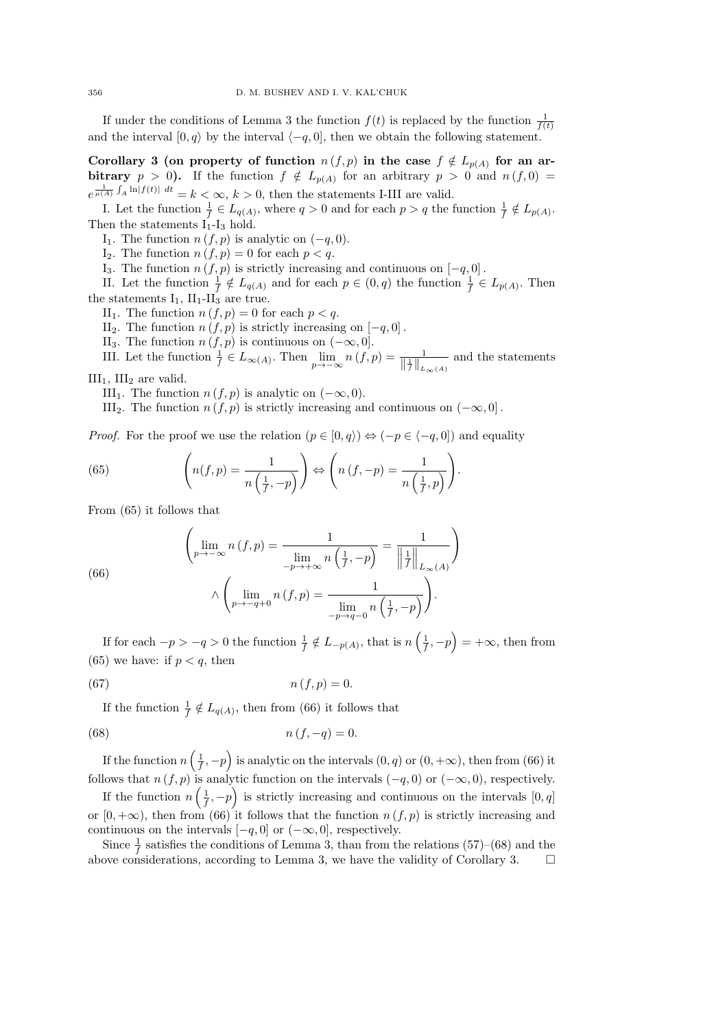If under the conditions of Lemma 3 the function  $f(t)$  is replaced by the function  $\frac{1}{f(t)}$ and the interval  $[0, q\rangle$  by the interval  $\langle -q, 0]$ , then we obtain the following statement.

Corollary 3 (on property of function  $n(f, p)$  in the case  $f \notin L_{p(A)}$  for an arbitrary  $p > 0$ ). If the function  $f \notin L_{p(A)}$  for an arbitrary  $p > 0$  and  $n(f, 0) =$  $e^{\frac{1}{\mu(A)} \int_A \ln |f(t)| dt} = k < \infty, k > 0$ , then the statements I-III are valid.

I. Let the function  $\frac{1}{f} \in L_{q(A)}$ , where  $q > 0$  and for each  $p > q$  the function  $\frac{1}{f} \notin L_{p(A)}$ . Then the statements  $I_1 - I_3$  hold.

I<sub>1</sub>. The function  $n(f, p)$  is analytic on  $(-q, 0)$ .

I<sub>2</sub>. The function  $n(f, p) = 0$  for each  $p < q$ .

I<sub>3</sub>. The function  $n(f, p)$  is strictly increasing and continuous on  $[-q, 0]$ .

II. Let the function  $\frac{1}{f} \notin L_{q(A)}$  and for each  $p \in (0, q)$  the function  $\frac{1}{f} \in L_{p(A)}$ . Then the statements  $I_1$ ,  $II_1$ - $II_3$  are true.

II<sub>1</sub>. The function  $n(f, p) = 0$  for each  $p < q$ .

II<sub>2</sub>. The function  $n(f, p)$  is strictly increasing on  $[-q, 0]$ .

II<sub>3</sub>. The function  $n(f, p)$  is continuous on  $(-\infty, 0]$ .

III. Let the function  $\frac{1}{f} \in L_{\infty(A)}$ . Then  $\lim_{p \to -\infty} n(f, p) = \frac{1}{\|\frac{1}{f}\|_{L_{\infty}(A)}}$  and the statements

 $III<sub>1</sub>$ ,  $III<sub>2</sub>$  are valid.

III<sub>1</sub>. The function  $n(f, p)$  is analytic on  $(-\infty, 0)$ .

III<sub>2</sub>. The function  $n(f, p)$  is strictly increasing and continuous on  $(-\infty, 0]$ .

*Proof.* For the proof we use the relation  $(p \in [0, q) \rangle \Leftrightarrow (-p \in (-q, 0])$  and equality

(65) 
$$
\left(n(f,p) = \frac{1}{n\left(\frac{1}{f},-p\right)}\right) \Leftrightarrow \left(n\left(f,-p\right) = \frac{1}{n\left(\frac{1}{f},p\right)}\right).
$$

From (65) it follows that

(66)  

$$
\left(\lim_{p\to-\infty} n(f,p) = \frac{1}{\lim_{-p\to+\infty} n\left(\frac{1}{f},-p\right)} = \frac{1}{\left\|\frac{1}{f}\right\|_{L_{\infty}(A)}}\right)
$$

$$
\wedge \left(\lim_{p\to-q+0} n(f,p) = \frac{1}{\lim_{-p\to q-0} n\left(\frac{1}{f},-p\right)}\right).
$$

If for each  $-p > -q > 0$  the function  $\frac{1}{f} \notin L_{-p(A)}$ , that is  $n\left(\frac{1}{f}, -p\right) = +\infty$ , then from (65) we have: if  $p < q$ , then

$$
n(f, p) = 0.
$$

If the function  $\frac{1}{f} \notin L_{q(A)}$ , then from (66) it follows that

(68) 
$$
n(f, -q) = 0.
$$

If the function  $n\left(\frac{1}{f}, -p\right)$  is analytic on the intervals  $(0, q)$  or  $(0, +\infty)$ , then from  $(66)$  it follows that  $n(f, p)$  is analytic function on the intervals  $(-q, 0)$  or  $(-\infty, 0)$ , respectively.

If the function  $n\left(\frac{1}{f}, -p\right)$  is strictly increasing and continuous on the intervals  $[0, q]$ or  $[0, +\infty)$ , then from  $(66)$  it follows that the function  $n(f, p)$  is strictly increasing and continuous on the intervals  $[-q, 0]$  or  $(-\infty, 0]$ , respectively.

Since  $\frac{1}{f}$  satisfies the conditions of Lemma 3, than from the relations (57)–(68) and the above considerations, according to Lemma 3, we have the validity of Corollary 3.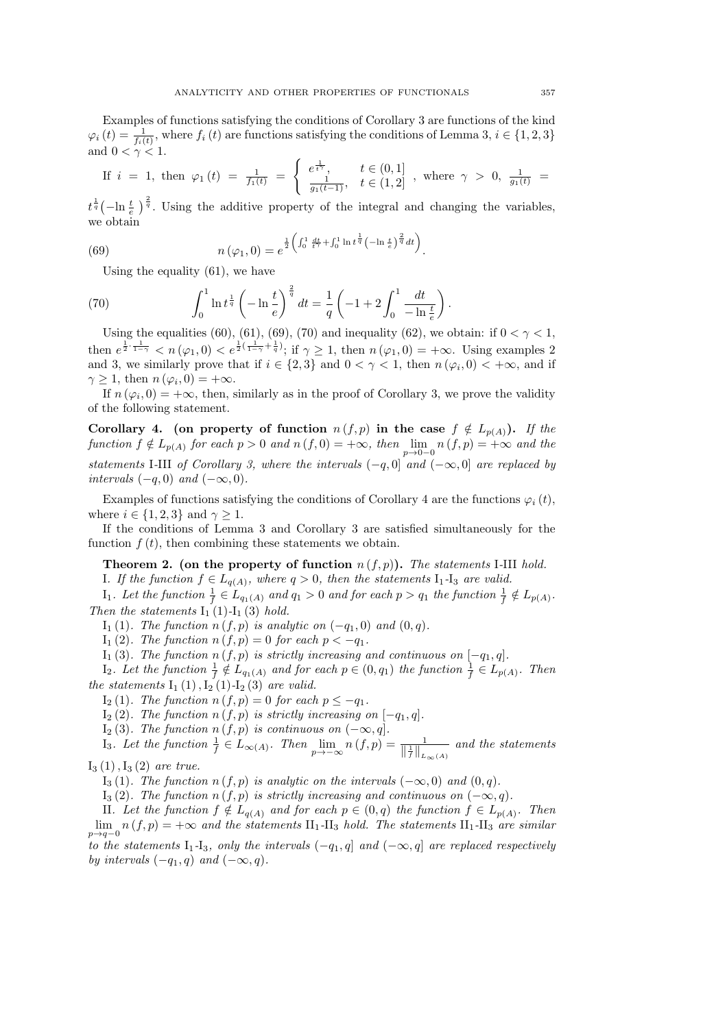Examples of functions satisfying the conditions of Corollary 3 are functions of the kind  $\varphi_i(t) = \frac{1}{f_i(t)}$ , where  $f_i(t)$  are functions satisfying the conditions of Lemma 3,  $i \in \{1, 2, 3\}$ and  $0 < \gamma < 1$ .

If 
$$
i = 1
$$
, then  $\varphi_1(t) = \frac{1}{f_1(t)} = \begin{cases} e^{\frac{1}{t^{\gamma}}}, & t \in (0,1] \\ \frac{1}{g_1(t-1)}, & t \in (1,2] \end{cases}$ , where  $\gamma > 0$ ,  $\frac{1}{g_1(t)} =$ 

 $t^{\frac{1}{q}}(-\ln \frac{t}{e})^{\frac{2}{q}}$ . Using the additive property of the integral and changing the variables, we obtain

(69) 
$$
n(\varphi_1, 0) = e^{\frac{1}{2} \left( \int_0^1 \frac{dt}{t^{\gamma}} + \int_0^1 \ln t^{\frac{1}{q}} \left( -\ln t^{\frac{t}{p}} \right)^{\frac{2}{q}} dt \right)}.
$$

Using the equality (61), we have

(70) 
$$
\int_0^1 \ln t^{\frac{1}{q}} \left(-\ln \frac{t}{e}\right)^{\frac{2}{q}} dt = \frac{1}{q} \left(-1 + 2 \int_0^1 \frac{dt}{-\ln \frac{t}{e}}\right).
$$

Using the equalities (60), (61), (69), (70) and inequality (62), we obtain: if  $0 < \gamma < 1$ , then  $e^{\frac{1}{2} \cdot \frac{1}{1-\gamma}} < n(\varphi_1, 0) < e^{\frac{1}{2}(\frac{1}{1-\gamma} + \frac{1}{q})}$ ; if  $\gamma \ge 1$ , then  $n(\varphi_1, 0) = +\infty$ . Using examples 2 and 3, we similarly prove that if  $i \in \{2,3\}$  and  $0 < \gamma < 1$ , then  $n(\varphi_i, 0) < +\infty$ , and if  $\gamma \geq 1$ , then  $n(\varphi_i, 0) = +\infty$ .

If  $n(\varphi_i, 0) = +\infty$ , then, similarly as in the proof of Corollary 3, we prove the validity of the following statement.

Corollary 4. (on property of function  $n (f, p)$  in the case  $f \notin L_{p(A)}$ ). If the  $f$ unction  $f \notin L_{p(A)}$  for each  $p > 0$  and  $n(f, 0) = +\infty$ , then  $\lim_{p \to 0-0} n(f, p) = +\infty$  and the *statements* I-III *of Corollary 3, where the intervals*  $(-q, 0]$  *and*  $(-\infty, 0]$  *are replaced by intervals*  $(-q, 0)$  *and*  $(-\infty, 0)$ *.* 

Examples of functions satisfying the conditions of Corollary 4 are the functions  $\varphi_i(t)$ , where  $i \in \{1, 2, 3\}$  and  $\gamma \geq 1$ .

If the conditions of Lemma 3 and Corollary 3 are satisfied simultaneously for the function  $f(t)$ , then combining these statements we obtain.

Theorem 2. (on the property of function n (f, p)). *The statements* I*-*III *hold.*

*I. If the function*  $f \in L_{q(A)}$ *, where*  $q > 0$ *, then the statements*  $I_1$ - $I_3$  *are valid.* 

 $I_1$ *. Let the function*  $\frac{1}{f} \in L_{q_1(A)}$  and  $q_1 > 0$  and for each  $p > q_1$  the function  $\frac{1}{f} \notin L_{p(A)}$ *. Then the statements*  $I_1$  (1) $-I_1$  (3) *hold.* 

I<sub>1</sub>(1)*.* The function  $n(f, p)$  is analytic on  $(-q_1, 0)$  and  $(0, q)$ *.* 

 $I_1(2)$ *. The function*  $n(f, p) = 0$  *for each*  $p < -q_1$ *.* 

I<sub>1</sub>(3)*.* The function  $n(f, p)$  is strictly increasing and continuous on  $[-q_1, q]$ *.* 

 $I_2$ *. Let the function*  $\frac{1}{f} \notin L_{q_1(A)}$  *and for each*  $p \in (0, q_1)$  *the function*  $\frac{1}{f} \in L_{p(A)}$ *. Then the statements*  $I_1(1)$ ,  $I_2(1)$ - $I_2(3)$  *are valid.* 

I<sub>2</sub> (1)*. The function*  $n(f, p) = 0$  *for each*  $p ≤ -q_1$ *.* 

I<sup>2</sup> (2)*. The function* n (f, p) *is strictly increasing on* [−q1, q]*.*

 $I_2(3)$ *. The function*  $n(f, p)$  *is continuous on*  $(-\infty, q]$ *.* 

I<sub>3</sub>. Let the function  $\frac{1}{f} \in L_{\infty(A)}$ . Then  $\lim_{p \to -\infty} n(f,p) = \frac{1}{\|\frac{1}{f}\|_{L_{\infty}(A)}}$  and the statements

I<sup>3</sup> (1),I<sup>3</sup> (2) *are true.*

I<sup>3</sup> (1)*. The function* n (f, p) *is analytic on the intervals* (−∞, 0) *and* (0, q)*.*

I<sub>3</sub> (2)*.* The function  $n(f, p)$  is strictly increasing and continuous on  $(-∞, q)$ *.* 

II. Let the function  $f \notin L_{q(A)}$  and for each  $p \in (0,q)$  the function  $f \in L_{p(A)}$ . Then  $\lim_{p\to q-0} n(f, p) = +\infty$  and the statements  $\text{II}_1$ -II<sub>3</sub> hold. The statements  $\text{II}_1$ -II<sub>3</sub> are similar

*to the statements*  $I_1$ - $I_3$ *, only the intervals*  $(-q_1, q]$  *and*  $(-\infty, q]$  *are replaced respectively by intervals*  $(-q_1, q)$  *and*  $(-\infty, q)$ *.*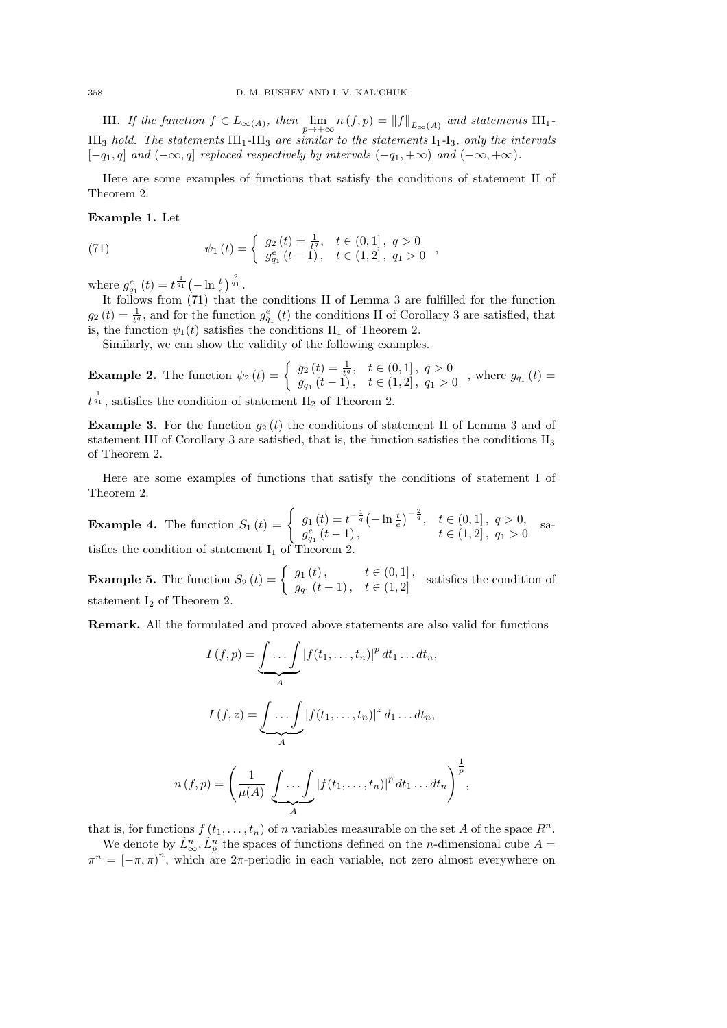III. If the function  $f \in L_{\infty(A)}$ , then  $\lim_{p \to +\infty} n(f,p) = ||f||_{L_{\infty}(A)}$  and statements  $III_1$ -III<sub>3</sub> *hold. The statements*  $III_1$ -III<sub>3</sub> *are similar to the statements*  $I_1$ -I<sub>3</sub>*, only the intervals*  $[-q_1, q]$  *and*  $(-\infty, q]$  *replaced respectively by intervals*  $(-q_1, +\infty)$  *and*  $(-\infty, +\infty)$ *.* 

Here are some examples of functions that satisfy the conditions of statement II of Theorem 2.

,

,

Example 1. Let

(71) 
$$
\psi_1(t) = \begin{cases} g_2(t) = \frac{1}{t^q}, & t \in (0,1], q > 0\\ g_{q_1}^e(t-1), & t \in (1,2], q_1 > 0 \end{cases}
$$

where  $g_{q_1}^e(t) = t^{\frac{1}{q_1}} \left(-\ln \frac{t}{e}\right)^{\frac{2}{q_1}}$ .

It follows from (71) that the conditions II of Lemma 3 are fulfilled for the function  $g_2(t) = \frac{1}{t^q}$ , and for the function  $g_{q_1}^e(t)$  the conditions II of Corollary 3 are satisfied, that is, the function  $\psi_1(t)$  satisfies the conditions  $\text{II}_1$  of Theorem 2.

Similarly, we can show the validity of the following examples.

**Example 2.** The function  $\psi_2(t) = \begin{cases} g_2(t) = \frac{1}{t^q}, & t \in (0,1], q > 0 \\ g_2(t) = 1, & t \in (1,2], q > 0 \end{cases}$  $g_{q_1}(t-1)$ ,  $t \in (1,2], q_1 > 0$ , where  $g_{q_1}(t) =$ 

 $t^{\frac{1}{q_1}}$ , satisfies the condition of statement II<sub>2</sub> of Theorem 2.

**Example 3.** For the function  $g_2(t)$  the conditions of statement II of Lemma 3 and of statement III of Corollary 3 are satisfied, that is, the function satisfies the conditions  $II_3$ of Theorem 2.

Here are some examples of functions that satisfy the conditions of statement I of Theorem 2.

**Example 4.** The function  $S_1(t) = \begin{cases} g_1(t) = t^{-\frac{1}{q}} \left(-\ln \frac{t}{e}\right)^{-\frac{2}{q}}, & t \in (0,1], q > 0, \end{cases}$  $g_{q_1}^{e}(t-1),$   $t \in (1,2], q_1 > 0,$  sa-<br> $g_{q_1}^{e}(t-1),$   $t \in (1,2], q_1 > 0$ tisfies the condition of statement  $I_1$  of Theorem 2.

**Example 5.** The function  $S_2(t) = \begin{cases} g_1(t), & t \in (0,1], \\ g_2(t-1), & t \in (1,2], \end{cases}$  $g_{q_1}(t-1)$ ,  $t \in (1, 2]$  satisfies the condition of statement  $I_2$  of Theorem 2.

Remark. All the formulated and proved above statements are also valid for functions

$$
I(f, p) = \underbrace{\int \dots \int}_{A} |f(t_1, \dots, t_n)|^p dt_1 \dots dt_n,
$$

$$
I(f, z) = \underbrace{\int \dots \int}_{A} |f(t_1, \dots, t_n)|^z d_1 \dots dt_n,
$$

$$
n(f, p) = \left(\frac{1}{\mu(A)} \underbrace{\int \dots \int}_{A} |f(t_1, \dots, t_n)|^p dt_1 \dots dt_n\right)^{\frac{1}{p}}
$$

that is, for functions  $f(t_1, \ldots, t_n)$  of n variables measurable on the set A of the space  $R^n$ .

We denote by  $\tilde{L}_{\infty}^n$ ,  $\tilde{L}_{\bar{p}}^n$  the spaces of functions defined on the *n*-dimensional cube  $A =$  $\pi^{n} = [-\pi, \pi)^{n}$ , which are  $2\pi$ -periodic in each variable, not zero almost everywhere on